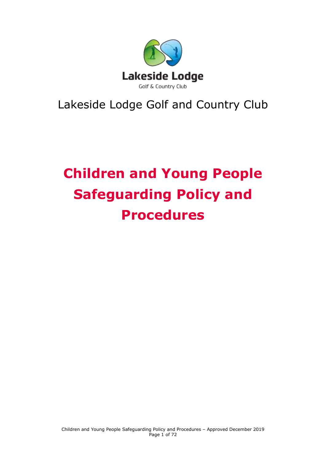

## Lakeside Lodge Golf and Country Club

# **Children and Young People Safeguarding Policy and Procedures**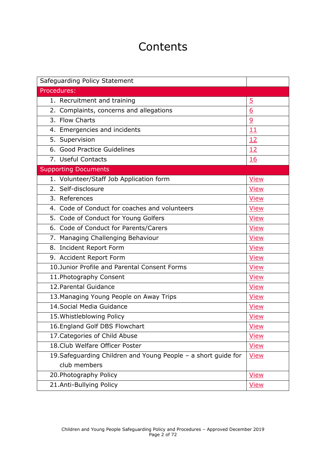## **Contents**

| Safeguarding Policy Statement                                  |                |
|----------------------------------------------------------------|----------------|
| Procedures:                                                    |                |
| 1. Recruitment and training                                    | $\overline{5}$ |
| 2. Complaints, concerns and allegations                        | 6              |
| 3. Flow Charts                                                 | $\overline{9}$ |
| 4. Emergencies and incidents                                   | 11             |
| 5. Supervision                                                 | 12             |
| 6. Good Practice Guidelines                                    | 12             |
| 7. Useful Contacts                                             | 16             |
| <b>Supporting Documents</b>                                    |                |
| 1. Volunteer/Staff Job Application form                        | <b>View</b>    |
| 2. Self-disclosure                                             | <b>View</b>    |
| $\overline{3}$ . References                                    | <b>View</b>    |
| 4. Code of Conduct for coaches and volunteers                  | <b>View</b>    |
| 5. Code of Conduct for Young Golfers                           | <b>View</b>    |
| 6. Code of Conduct for Parents/Carers                          | <b>View</b>    |
| 7. Managing Challenging Behaviour                              | <b>View</b>    |
| 8. Incident Report Form                                        | <b>View</b>    |
| 9. Accident Report Form                                        | View           |
| 10. Junior Profile and Parental Consent Forms                  | <b>View</b>    |
| 11. Photography Consent                                        | <b>View</b>    |
| 12. Parental Guidance                                          | <b>View</b>    |
| 13. Managing Young People on Away Trips                        | <b>View</b>    |
| 14. Social Media Guidance                                      | <b>View</b>    |
| 15. Whistleblowing Policy                                      | <b>View</b>    |
| 16. England Golf DBS Flowchart                                 | <b>View</b>    |
| 17. Categories of Child Abuse                                  | <b>View</b>    |
| 18. Club Welfare Officer Poster                                | <u>View</u>    |
| 19. Safeguarding Children and Young People - a short guide for | <b>View</b>    |
| club members                                                   |                |
| 20. Photography Policy                                         | <b>View</b>    |
| 21.Anti-Bullying Policy                                        | <u>View</u>    |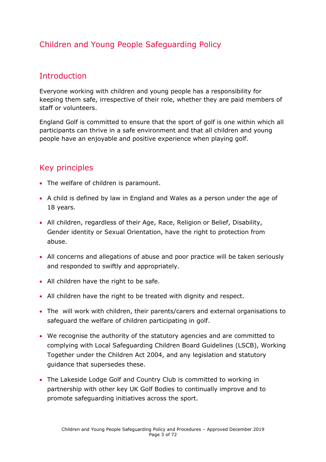## Children and Young People Safeguarding Policy

### Introduction

Everyone working with children and young people has a responsibility for keeping them safe, irrespective of their role, whether they are paid members of staff or volunteers.

England Golf is committed to ensure that the sport of golf is one within which all participants can thrive in a safe environment and that all children and young people have an enjoyable and positive experience when playing golf.

## Key principles

- The welfare of children is paramount.
- A child is defined by law in England and Wales as a person under the age of 18 years.
- All children, regardless of their Age, Race, Religion or Belief, Disability, Gender identity or Sexual Orientation, have the right to protection from abuse.
- All concerns and allegations of abuse and poor practice will be taken seriously and responded to swiftly and appropriately.
- All children have the right to be safe.
- All children have the right to be treated with dignity and respect.
- The will work with children, their parents/carers and external organisations to safeguard the welfare of children participating in golf.
- We recognise the authority of the statutory agencies and are committed to complying with Local Safeguarding Children Board Guidelines (LSCB), Working Together under the Children Act 2004, and any legislation and statutory guidance that supersedes these.
- The Lakeside Lodge Golf and Country Club is committed to working in partnership with other key UK Golf Bodies to continually improve and to promote safeguarding initiatives across the sport.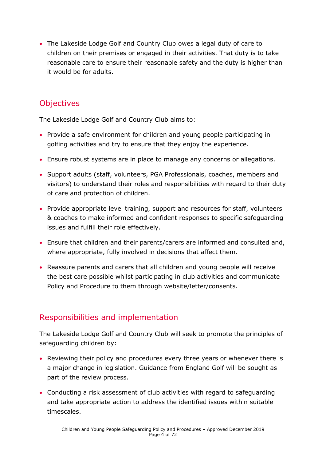• The Lakeside Lodge Golf and Country Club owes a legal duty of care to children on their premises or engaged in their activities. That duty is to take reasonable care to ensure their reasonable safety and the duty is higher than it would be for adults.

## **Objectives**

The Lakeside Lodge Golf and Country Club aims to:

- Provide a safe environment for children and young people participating in golfing activities and try to ensure that they enjoy the experience.
- Ensure robust systems are in place to manage any concerns or allegations.
- Support adults (staff, volunteers, PGA Professionals, coaches, members and visitors) to understand their roles and responsibilities with regard to their duty of care and protection of children.
- Provide appropriate level training, support and resources for staff, volunteers & coaches to make informed and confident responses to specific safeguarding issues and fulfill their role effectively.
- Ensure that children and their parents/carers are informed and consulted and, where appropriate, fully involved in decisions that affect them.
- Reassure parents and carers that all children and young people will receive the best care possible whilst participating in club activities and communicate Policy and Procedure to them through website/letter/consents.

## Responsibilities and implementation

The Lakeside Lodge Golf and Country Club will seek to promote the principles of safeguarding children by:

- Reviewing their policy and procedures every three years or whenever there is a major change in legislation. Guidance from England Golf will be sought as part of the review process.
- Conducting a risk assessment of club activities with regard to safeguarding and take appropriate action to address the identified issues within suitable timescales.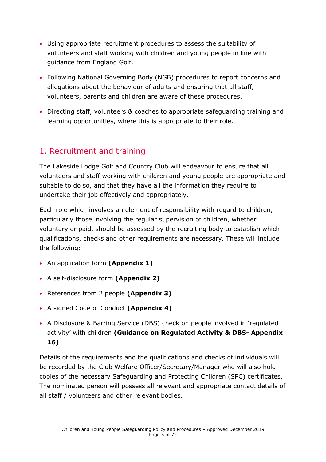- Using appropriate recruitment procedures to assess the suitability of volunteers and staff working with children and young people in line with guidance from England Golf.
- Following National Governing Body (NGB) procedures to report concerns and allegations about the behaviour of adults and ensuring that all staff, volunteers, parents and children are aware of these procedures.
- Directing staff, volunteers & coaches to appropriate safeguarding training and learning opportunities, where this is appropriate to their role.

## <span id="page-4-0"></span>1. Recruitment and training

The Lakeside Lodge Golf and Country Club will endeavour to ensure that all volunteers and staff working with children and young people are appropriate and suitable to do so, and that they have all the information they require to undertake their job effectively and appropriately.

Each role which involves an element of responsibility with regard to children, particularly those involving the regular supervision of children, whether voluntary or paid, should be assessed by the recruiting body to establish which qualifications, checks and other requirements are necessary. These will include the following:

- An application form **(Appendix 1)**
- A self-disclosure form **(Appendix 2)**
- References from 2 people **(Appendix 3)**
- A signed Code of Conduct **(Appendix 4)**
- A Disclosure & Barring Service (DBS) check on people involved in 'regulated activity' with children **(Guidance on Regulated Activity & DBS- Appendix 16)**

Details of the requirements and the qualifications and checks of individuals will be recorded by the Club Welfare Officer/Secretary/Manager who will also hold copies of the necessary Safeguarding and Protecting Children (SPC) certificates. The nominated person will possess all relevant and appropriate contact details of all staff / volunteers and other relevant bodies.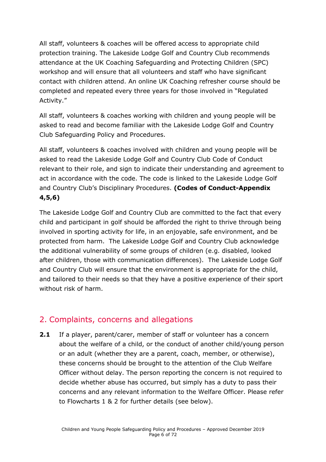All staff, volunteers & coaches will be offered access to appropriate child protection training. The Lakeside Lodge Golf and Country Club recommends attendance at the UK Coaching Safeguarding and Protecting Children (SPC) workshop and will ensure that all volunteers and staff who have significant contact with children attend. An online UK Coaching refresher course should be completed and repeated every three years for those involved in "Regulated Activity."

All staff, volunteers & coaches working with children and young people will be asked to read and become familiar with the Lakeside Lodge Golf and Country Club Safeguarding Policy and Procedures.

All staff, volunteers & coaches involved with children and young people will be asked to read the Lakeside Lodge Golf and Country Club Code of Conduct relevant to their role, and sign to indicate their understanding and agreement to act in accordance with the code. The code is linked to the Lakeside Lodge Golf and Country Club's Disciplinary Procedures. **(Codes of Conduct-Appendix 4,5,6)**

The Lakeside Lodge Golf and Country Club are committed to the fact that every child and participant in golf should be afforded the right to thrive through being involved in sporting activity for life, in an enjoyable, safe environment, and be protected from harm. The Lakeside Lodge Golf and Country Club acknowledge the additional vulnerability of some groups of children (e.g. disabled, looked after children, those with communication differences). The Lakeside Lodge Golf and Country Club will ensure that the environment is appropriate for the child, and tailored to their needs so that they have a positive experience of their sport without risk of harm.

## <span id="page-5-0"></span>2. Complaints, concerns and allegations

**2.1** If a player, parent/carer, member of staff or volunteer has a concern about the welfare of a child, or the conduct of another child/young person or an adult (whether they are a parent, coach, member, or otherwise), these concerns should be brought to the attention of the Club Welfare Officer without delay. The person reporting the concern is not required to decide whether abuse has occurred, but simply has a duty to pass their concerns and any relevant information to the Welfare Officer. Please refer to Flowcharts 1 & 2 for further details (see below).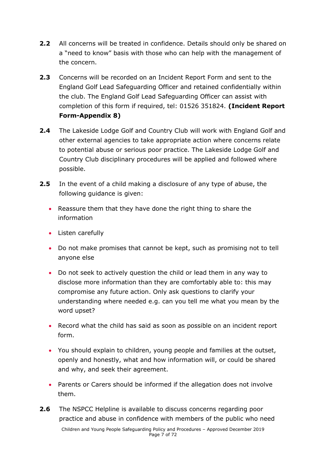- **2.2** All concerns will be treated in confidence. Details should only be shared on a "need to know" basis with those who can help with the management of the concern.
- **2.3** Concerns will be recorded on an Incident Report Form and sent to the England Golf Lead Safeguarding Officer and retained confidentially within the club. The England Golf Lead Safeguarding Officer can assist with completion of this form if required, tel: 01526 351824. **(Incident Report Form-Appendix 8)**
- **2.4** The Lakeside Lodge Golf and Country Club will work with England Golf and other external agencies to take appropriate action where concerns relate to potential abuse or serious poor practice. The Lakeside Lodge Golf and Country Club disciplinary procedures will be applied and followed where possible.
- **2.5** In the event of a child making a disclosure of any type of abuse, the following guidance is given:
	- Reassure them that they have done the right thing to share the information
	- Listen carefully
	- Do not make promises that cannot be kept, such as promising not to tell anyone else
	- Do not seek to actively question the child or lead them in any way to disclose more information than they are comfortably able to: this may compromise any future action. Only ask questions to clarify your understanding where needed e.g. can you tell me what you mean by the word upset?
	- Record what the child has said as soon as possible on an incident report form.
	- You should explain to children, young people and families at the outset, openly and honestly, what and how information will, or could be shared and why, and seek their agreement.
	- Parents or Carers should be informed if the allegation does not involve them.
- **2.6** The NSPCC Helpline is available to discuss concerns regarding poor practice and abuse in confidence with members of the public who need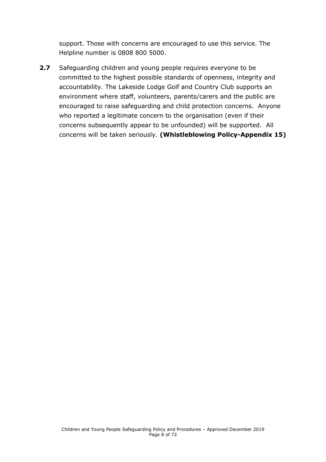support. Those with concerns are encouraged to use this service. The Helpline number is 0808 800 5000.

<span id="page-7-0"></span>**2.7** Safeguarding children and young people requires everyone to be committed to the highest possible standards of openness, integrity and accountability. The Lakeside Lodge Golf and Country Club supports an environment where staff, volunteers, parents/carers and the public are encouraged to raise safeguarding and child protection concerns. Anyone who reported a legitimate concern to the organisation (even if their concerns subsequently appear to be unfounded) will be supported. All concerns will be taken seriously. **(Whistleblowing Policy-Appendix 15)**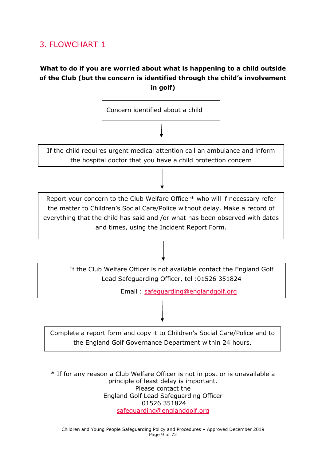## 3. FLOWCHART 1

#### **What to do if you are worried about what is happening to a child outside of the Club (but the concern is identified through the child's involvement in golf)**



\* If for any reason a Club Welfare Officer is not in post or is unavailable a principle of least delay is important. Please contact the England Golf Lead Safeguarding Officer 01526 351824 [safeguarding@englandgolf.org](mailto:safeguarding@englandgolf.org)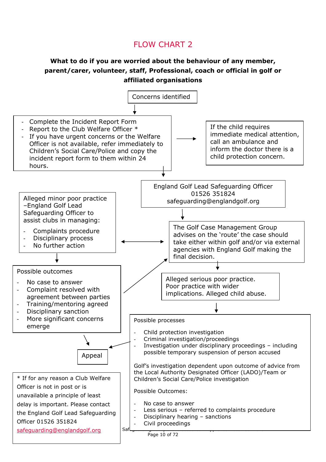## FLOW CHART 2

#### **What to do if you are worried about the behaviour of any member, parent/carer, volunteer, staff, Professional, coach or official in golf or affiliated organisations**

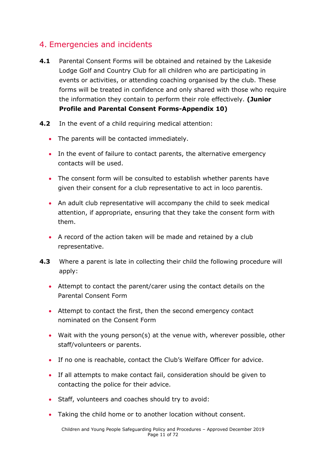## <span id="page-10-0"></span>4. Emergencies and incidents

- **4.1** Parental Consent Forms will be obtained and retained by the Lakeside Lodge Golf and Country Club for all children who are participating in events or activities, or attending coaching organised by the club. These forms will be treated in confidence and only shared with those who require the information they contain to perform their role effectively. **(Junior Profile and Parental Consent Forms-Appendix 10)**
- **4.2** In the event of a child requiring medical attention:
	- The parents will be contacted immediately.
	- In the event of failure to contact parents, the alternative emergency contacts will be used.
	- The consent form will be consulted to establish whether parents have given their consent for a club representative to act in loco parentis.
	- An adult club representative will accompany the child to seek medical attention, if appropriate, ensuring that they take the consent form with them.
	- A record of the action taken will be made and retained by a club representative.
- **4.3** Where a parent is late in collecting their child the following procedure will apply:
	- Attempt to contact the parent/carer using the contact details on the Parental Consent Form
	- Attempt to contact the first, then the second emergency contact nominated on the Consent Form
	- Wait with the young person(s) at the venue with, wherever possible, other staff/volunteers or parents.
	- If no one is reachable, contact the Club's Welfare Officer for advice.
	- If all attempts to make contact fail, consideration should be given to contacting the police for their advice.
	- Staff, volunteers and coaches should try to avoid:
	- Taking the child home or to another location without consent.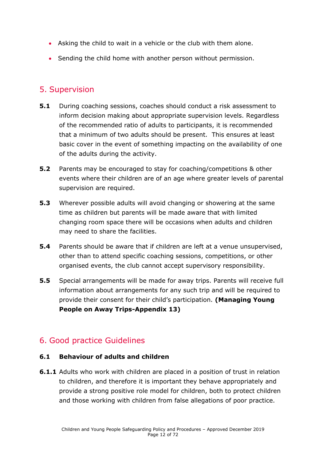- Asking the child to wait in a vehicle or the club with them alone.
- Sending the child home with another person without permission.

### <span id="page-11-0"></span>5. Supervision

- **5.1** During coaching sessions, coaches should conduct a risk assessment to inform decision making about appropriate supervision levels. Regardless of the recommended ratio of adults to participants, it is recommended that a minimum of two adults should be present. This ensures at least basic cover in the event of something impacting on the availability of one of the adults during the activity.
- **5.2** Parents may be encouraged to stay for coaching/competitions & other events where their children are of an age where greater levels of parental supervision are required.
- **5.3** Wherever possible adults will avoid changing or showering at the same time as children but parents will be made aware that with limited changing room space there will be occasions when adults and children may need to share the facilities.
- **5.4** Parents should be aware that if children are left at a venue unsupervised, other than to attend specific coaching sessions, competitions, or other organised events, the club cannot accept supervisory responsibility.
- **5.5** Special arrangements will be made for away trips. Parents will receive full information about arrangements for any such trip and will be required to provide their consent for their child's participation. **(Managing Young People on Away Trips-Appendix 13)**

## <span id="page-11-1"></span>6. Good practice Guidelines

#### **6.1 Behaviour of adults and children**

**6.1.1** Adults who work with children are placed in a position of trust in relation to children, and therefore it is important they behave appropriately and provide a strong positive role model for children, both to protect children and those working with children from false allegations of poor practice.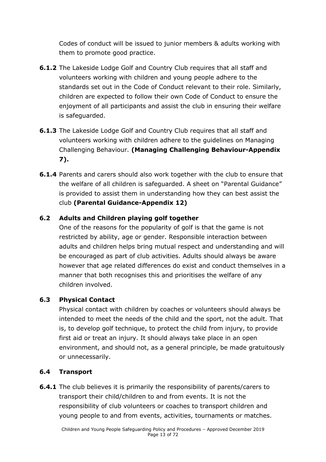Codes of conduct will be issued to junior members & adults working with them to promote good practice.

- **6.1.2** The Lakeside Lodge Golf and Country Club requires that all staff and volunteers working with children and young people adhere to the standards set out in the Code of Conduct relevant to their role. Similarly, children are expected to follow their own Code of Conduct to ensure the enjoyment of all participants and assist the club in ensuring their welfare is safeguarded.
- **6.1.3** The Lakeside Lodge Golf and Country Club requires that all staff and volunteers working with children adhere to the guidelines on Managing Challenging Behaviour. **(Managing Challenging Behaviour-Appendix 7).**
- **6.1.4** Parents and carers should also work together with the club to ensure that the welfare of all children is safeguarded. A sheet on "Parental Guidance" is provided to assist them in understanding how they can best assist the club **(Parental Guidance-Appendix 12)**

#### **6.2 Adults and Children playing golf together**

One of the reasons for the popularity of golf is that the game is not restricted by ability, age or gender. Responsible interaction between adults and children helps bring mutual respect and understanding and will be encouraged as part of club activities. Adults should always be aware however that age related differences do exist and conduct themselves in a manner that both recognises this and prioritises the welfare of any children involved.

#### **6.3 Physical Contact**

Physical contact with children by coaches or volunteers should always be intended to meet the needs of the child and the sport, not the adult. That is, to develop golf technique, to protect the child from injury, to provide first aid or treat an injury. It should always take place in an open environment, and should not, as a general principle, be made gratuitously or unnecessarily.

#### **6.4 Transport**

**6.4.1** The club believes it is primarily the responsibility of parents/carers to transport their child/children to and from events. It is not the responsibility of club volunteers or coaches to transport children and young people to and from events, activities, tournaments or matches.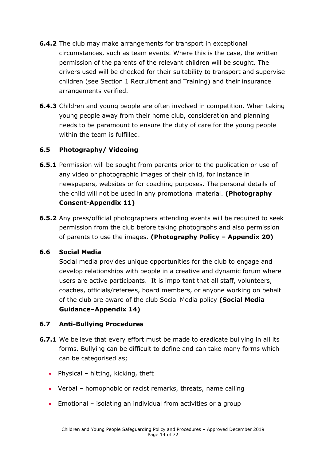- **6.4.2** The club may make arrangements for transport in exceptional circumstances, such as team events. Where this is the case, the written permission of the parents of the relevant children will be sought. The drivers used will be checked for their suitability to transport and supervise children (see Section 1 Recruitment and Training) and their insurance arrangements verified.
- **6.4.3** Children and young people are often involved in competition. When taking young people away from their home club, consideration and planning needs to be paramount to ensure the duty of care for the young people within the team is fulfilled.

#### **6.5 Photography/ Videoing**

- **6.5.1** Permission will be sought from parents prior to the publication or use of any video or photographic images of their child, for instance in newspapers, websites or for coaching purposes. The personal details of the child will not be used in any promotional material. **(Photography Consent-Appendix 11)**
- **6.5.2** Any press/official photographers attending events will be required to seek permission from the club before taking photographs and also permission of parents to use the images. **(Photography Policy – Appendix 20)**

#### **6.6 Social Media**

Social media provides unique opportunities for the club to engage and develop relationships with people in a creative and dynamic forum where users are active participants. It is important that all staff, volunteers, coaches, officials/referees, board members, or anyone working on behalf of the club are aware of the club Social Media policy **(Social Media Guidance–Appendix 14)**

#### **6.7 Anti-Bullying Procedures**

- **6.7.1** We believe that every effort must be made to eradicate bullying in all its forms. Bullying can be difficult to define and can take many forms which can be categorised as;
	- Physical hitting, kicking, theft
	- Verbal homophobic or racist remarks, threats, name calling
	- Emotional isolating an individual from activities or a group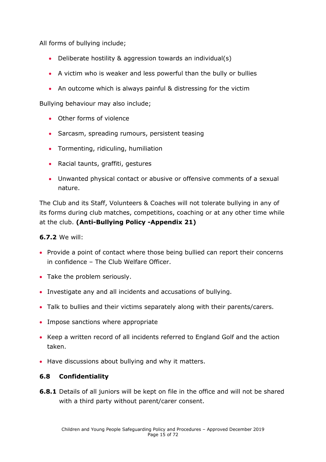All forms of bullying include;

- Deliberate hostility & aggression towards an individual(s)
- A victim who is weaker and less powerful than the bully or bullies
- An outcome which is always painful & distressing for the victim

Bullying behaviour may also include;

- Other forms of violence
- Sarcasm, spreading rumours, persistent teasing
- Tormenting, ridiculing, humiliation
- Racial taunts, graffiti, gestures
- Unwanted physical contact or abusive or offensive comments of a sexual nature.

The Club and its Staff, Volunteers & Coaches will not tolerate bullying in any of its forms during club matches, competitions, coaching or at any other time while at the club. **(Anti-Bullying Policy -Appendix 21)**

#### **6.7.2** We will:

- Provide a point of contact where those being bullied can report their concerns in confidence – The Club Welfare Officer.
- Take the problem seriously.
- Investigate any and all incidents and accusations of bullying.
- Talk to bullies and their victims separately along with their parents/carers.
- Impose sanctions where appropriate
- Keep a written record of all incidents referred to England Golf and the action taken.
- Have discussions about bullying and why it matters.

#### **6.8 Confidentiality**

**6.8.1** Details of all juniors will be kept on file in the office and will not be shared with a third party without parent/carer consent.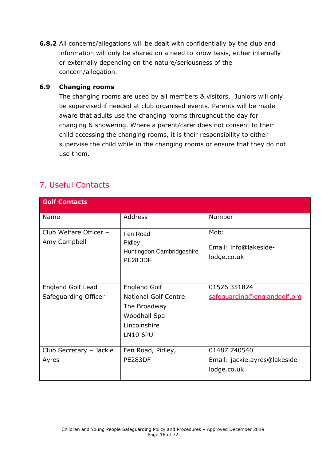**6.8.2** All concerns/allegations will be dealt with confidentially by the club and information will only be shared on a need to know basis, either internally or externally depending on the nature/seriousness of the concern/allegation.

#### **6.9 Changing rooms**

The changing rooms are used by all members & visitors. Juniors will only be supervised if needed at club organised events. Parents will be made aware that adults use the changing rooms throughout the day for changing & showering. Where a parent/carer does not consent to their child accessing the changing rooms, it is their responsibility to either supervise the child while in the changing rooms or ensure that they do not use them.

## <span id="page-15-0"></span>7. Useful Contacts

| <b>Golf Contacts</b>                   |                                                                    |                                              |
|----------------------------------------|--------------------------------------------------------------------|----------------------------------------------|
| Name                                   | Address                                                            | Number                                       |
| Club Welfare Officer -<br>Amy Campbell | Fen Road<br>Pidley<br>Huntingdon Cambridgeshire<br><b>PE28 3DF</b> | Mob:<br>Email: info@lakeside-<br>lodge.co.uk |
|                                        |                                                                    |                                              |
| <b>England Golf Lead</b>               | <b>England Golf</b>                                                | 01526 351824                                 |
| Safeguarding Officer                   | <b>National Golf Centre</b><br>The Broadway                        | safeguarding@englandgolf.org                 |
|                                        | Woodhall Spa                                                       |                                              |
|                                        | Lincolnshire                                                       |                                              |
|                                        | <b>LN10 6PU</b>                                                    |                                              |
| Club Secretary - Jackie                | Fen Road, Pidley,                                                  | 01487 740540                                 |
| Ayres                                  | PE283DF                                                            | Email: jackie.ayres@lakeside-                |
|                                        |                                                                    | lodge.co.uk                                  |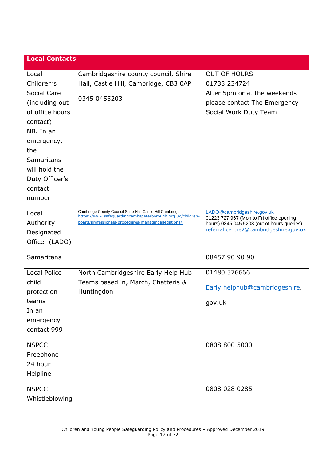| <b>Local Contacts</b> |                                                                                                                   |                                                                                         |
|-----------------------|-------------------------------------------------------------------------------------------------------------------|-----------------------------------------------------------------------------------------|
| Local                 | Cambridgeshire county council, Shire                                                                              | <b>OUT OF HOURS</b>                                                                     |
| Children's            | Hall, Castle Hill, Cambridge, CB3 0AP                                                                             | 01733 234724                                                                            |
| Social Care           |                                                                                                                   | After 5pm or at the weekends                                                            |
| (including out        | 0345 0455203                                                                                                      | please contact The Emergency                                                            |
| of office hours       |                                                                                                                   | Social Work Duty Team                                                                   |
| contact)              |                                                                                                                   |                                                                                         |
| NB. In an             |                                                                                                                   |                                                                                         |
| emergency,            |                                                                                                                   |                                                                                         |
| the                   |                                                                                                                   |                                                                                         |
| <b>Samaritans</b>     |                                                                                                                   |                                                                                         |
| will hold the         |                                                                                                                   |                                                                                         |
| Duty Officer's        |                                                                                                                   |                                                                                         |
| contact               |                                                                                                                   |                                                                                         |
| number                |                                                                                                                   |                                                                                         |
| Local                 | Cambridge County Council Shire Hall Castle Hill Cambridge                                                         | LADO@cambridgeshire.gov.uk                                                              |
| Authority             | https://www.safeguardingcambspeterborough.org.uk/children-<br>board/professionals/procedures/managingallegations/ | 01223 727 967 (Mon to Fri office opening<br>hours) 0345 045 5203 (out of hours queries) |
| Designated            |                                                                                                                   | referral.centre2@cambridgeshire.gov.uk                                                  |
| Officer (LADO)        |                                                                                                                   |                                                                                         |
|                       |                                                                                                                   |                                                                                         |
| Samaritans            |                                                                                                                   | 08457 90 90 90                                                                          |
| <b>Local Police</b>   | North Cambridgeshire Early Help Hub                                                                               | 01480 376666                                                                            |
| child                 | Teams based in, March, Chatteris &                                                                                |                                                                                         |
| protection            | Huntingdon                                                                                                        | Early.helphub@cambridgeshire.                                                           |
| teams                 |                                                                                                                   | gov.uk                                                                                  |
| In an                 |                                                                                                                   |                                                                                         |
| emergency             |                                                                                                                   |                                                                                         |
| contact 999           |                                                                                                                   |                                                                                         |
| <b>NSPCC</b>          |                                                                                                                   | 0808 800 5000                                                                           |
| Freephone             |                                                                                                                   |                                                                                         |
| 24 hour               |                                                                                                                   |                                                                                         |
| Helpline              |                                                                                                                   |                                                                                         |
| <b>NSPCC</b>          |                                                                                                                   | 0808 028 0285                                                                           |
| Whistleblowing        |                                                                                                                   |                                                                                         |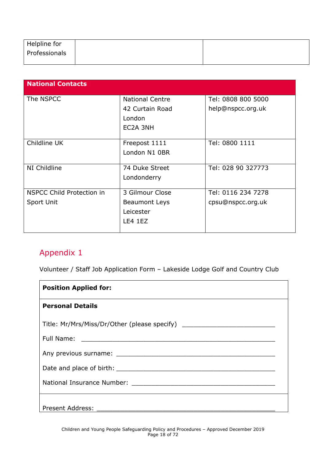| Helpline for  |  |
|---------------|--|
| Professionals |  |
|               |  |

| <b>National Contacts</b>         |                        |                    |
|----------------------------------|------------------------|--------------------|
| The NSPCC                        | <b>National Centre</b> | Tel: 0808 800 5000 |
|                                  | 42 Curtain Road        | help@nspcc.org.uk  |
|                                  | London                 |                    |
|                                  | EC2A 3NH               |                    |
|                                  |                        |                    |
| Childline UK                     | Freepost 1111          | Tel: 0800 1111     |
|                                  | London N1 0BR          |                    |
|                                  |                        |                    |
| NI Childline                     | 74 Duke Street         | Tel: 028 90 327773 |
|                                  | Londonderry            |                    |
|                                  |                        |                    |
| <b>NSPCC Child Protection in</b> | 3 Gilmour Close        | Tel: 0116 234 7278 |
| Sport Unit                       | <b>Beaumont Leys</b>   | cpsu@nspcc.org.uk  |
|                                  | Leicester              |                    |
|                                  | LE4 1EZ                |                    |
|                                  |                        |                    |

<span id="page-17-0"></span>Volunteer / Staff Job Application Form – Lakeside Lodge Golf and Country Club

| <b>Position Applied for:</b>                                                                                  |
|---------------------------------------------------------------------------------------------------------------|
| <b>Personal Details</b>                                                                                       |
| Title: Mr/Mrs/Miss/Dr/Other (please specify)                                                                  |
|                                                                                                               |
|                                                                                                               |
|                                                                                                               |
| National Insurance Number: 2008 2010 2020 2021 2022 2023 2024 2022 2023 2024 2022 2023 2024 2022 2023 2024 20 |
| <b>Present Address:</b>                                                                                       |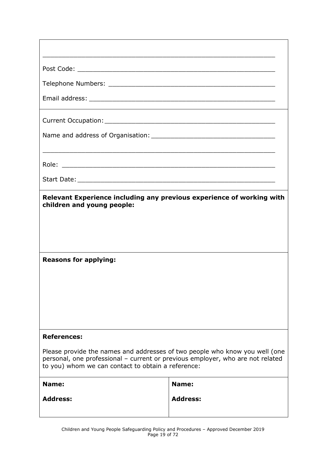| Relevant Experience including any previous experience of working with<br>children and young people:<br><b>Reasons for applying:</b>                                                                                 |                 |  |  |
|---------------------------------------------------------------------------------------------------------------------------------------------------------------------------------------------------------------------|-----------------|--|--|
|                                                                                                                                                                                                                     |                 |  |  |
| <b>References:</b>                                                                                                                                                                                                  |                 |  |  |
| Please provide the names and addresses of two people who know you well (one<br>personal, one professional - current or previous employer, who are not related<br>to you) whom we can contact to obtain a reference: |                 |  |  |
| Name:                                                                                                                                                                                                               | Name:           |  |  |
| <b>Address:</b>                                                                                                                                                                                                     | <b>Address:</b> |  |  |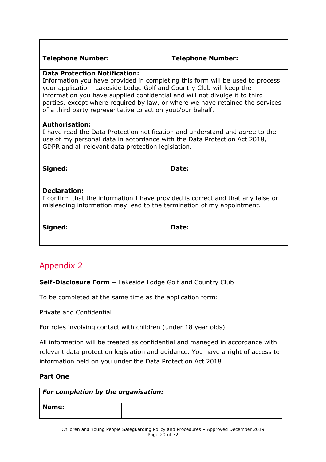| <b>Telephone Number:</b> |  |
|--------------------------|--|
|--------------------------|--|

#### **Telephone Number: Telephone Number:**

#### **Data Protection Notification:**

Information you have provided in completing this form will be used to process your application. Lakeside Lodge Golf and Country Club will keep the information you have supplied confidential and will not divulge it to third parties, except where required by law, or where we have retained the services of a third party representative to act on yout/our behalf.

#### **Authorisation:**

I have read the Data Protection notification and understand and agree to the use of my personal data in accordance with the Data Protection Act 2018, GDPR and all relevant data protection legislation.

**Signed: Date:** 

#### **Declaration:**

I confirm that the information I have provided is correct and that any false or misleading information may lead to the termination of my appointment.

**Signed: Date:**

## <span id="page-19-0"></span>Appendix 2

**Self-Disclosure Form –** Lakeside Lodge Golf and Country Club

To be completed at the same time as the application form:

Private and Confidential

For roles involving contact with children (under 18 year olds).

All information will be treated as confidential and managed in accordance with relevant data protection legislation and guidance. You have a right of access to information held on you under the Data Protection Act 2018.

#### **Part One**

| For completion by the organisation: |  |  |
|-------------------------------------|--|--|
| <b>Name:</b>                        |  |  |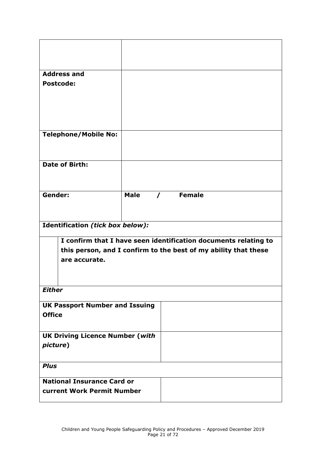| <b>Address and</b>                     |             |                                                                 |  |
|----------------------------------------|-------------|-----------------------------------------------------------------|--|
| <b>Postcode:</b>                       |             |                                                                 |  |
|                                        |             |                                                                 |  |
|                                        |             |                                                                 |  |
|                                        |             |                                                                 |  |
|                                        |             |                                                                 |  |
| <b>Telephone/Mobile No:</b>            |             |                                                                 |  |
|                                        |             |                                                                 |  |
|                                        |             |                                                                 |  |
| <b>Date of Birth:</b>                  |             |                                                                 |  |
|                                        |             |                                                                 |  |
|                                        |             |                                                                 |  |
| Gender:                                | <b>Male</b> | / Female                                                        |  |
|                                        |             |                                                                 |  |
|                                        |             |                                                                 |  |
|                                        |             |                                                                 |  |
| Identification (tick box below):       |             |                                                                 |  |
|                                        |             | I confirm that I have seen identification documents relating to |  |
|                                        |             | this person, and I confirm to the best of my ability that these |  |
| are accurate.                          |             |                                                                 |  |
|                                        |             |                                                                 |  |
|                                        |             |                                                                 |  |
| <b>Either</b>                          |             |                                                                 |  |
|                                        |             |                                                                 |  |
| <b>UK Passport Number and Issuing</b>  |             |                                                                 |  |
| <b>Office</b>                          |             |                                                                 |  |
|                                        |             |                                                                 |  |
| <b>UK Driving Licence Number (with</b> |             |                                                                 |  |
| picture)                               |             |                                                                 |  |
|                                        |             |                                                                 |  |
| <b>Plus</b>                            |             |                                                                 |  |
|                                        |             |                                                                 |  |
|                                        |             |                                                                 |  |
| <b>National Insurance Card or</b>      |             |                                                                 |  |
| current Work Permit Number             |             |                                                                 |  |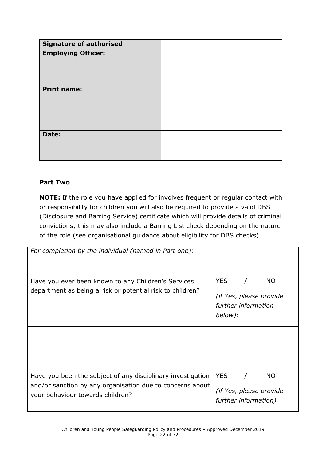| <b>Signature of authorised</b><br><b>Employing Officer:</b> |  |
|-------------------------------------------------------------|--|
| <b>Print name:</b>                                          |  |
| Date:                                                       |  |

#### **Part Two**

**NOTE:** If the role you have applied for involves frequent or regular contact with or responsibility for children you will also be required to provide a valid DBS (Disclosure and Barring Service) certificate which will provide details of criminal convictions; this may also include a Barring List check depending on the nature of the role (see organisational guidance about eligibility for DBS checks).

| For completion by the individual (named in Part one):       |                         |
|-------------------------------------------------------------|-------------------------|
|                                                             |                         |
|                                                             |                         |
| Have you ever been known to any Children's Services         | <b>YES</b><br><b>NO</b> |
| department as being a risk or potential risk to children?   | (if Yes, please provide |
|                                                             | further information     |
|                                                             | below):                 |
|                                                             |                         |
|                                                             |                         |
|                                                             |                         |
|                                                             |                         |
|                                                             |                         |
| Have you been the subject of any disciplinary investigation | <b>YES</b><br><b>NO</b> |
| and/or sanction by any organisation due to concerns about   | (if Yes, please provide |
| your behaviour towards children?                            | further information)    |
|                                                             |                         |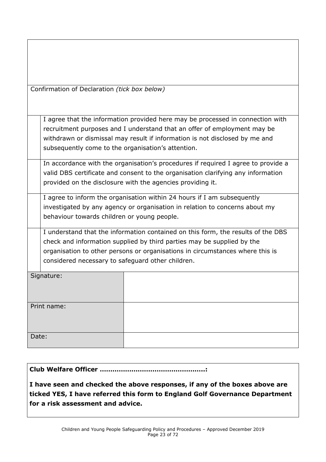|  | Confirmation of Declaration (tick box below) |  |
|--|----------------------------------------------|--|
|  |                                              |  |

I agree that the information provided here may be processed in connection with recruitment purposes and I understand that an offer of employment may be withdrawn or dismissal may result if information is not disclosed by me and subsequently come to the organisation's attention.

In accordance with the organisation's procedures if required I agree to provide a valid DBS certificate and consent to the organisation clarifying any information provided on the disclosure with the agencies providing it.

I agree to inform the organisation within 24 hours if I am subsequently investigated by any agency or organisation in relation to concerns about my behaviour towards children or young people.

I understand that the information contained on this form, the results of the DBS check and information supplied by third parties may be supplied by the organisation to other persons or organisations in circumstances where this is considered necessary to safeguard other children.

| Signature:  |  |
|-------------|--|
|             |  |
| Print name: |  |
|             |  |
| Date:       |  |
|             |  |

#### **Club Welfare Officer …………………………………………..:**

**I have seen and checked the above responses, if any of the boxes above are ticked YES, I have referred this form to England Golf Governance Department for a risk assessment and advice.**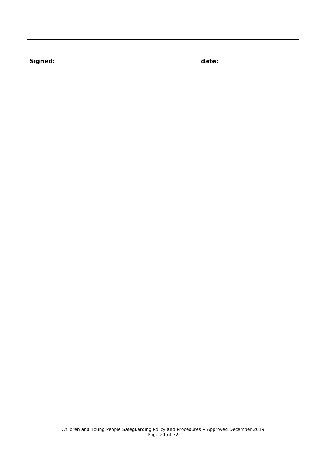**Signed: date:**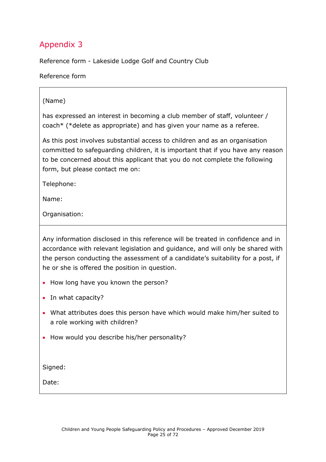<span id="page-24-0"></span>Reference form - Lakeside Lodge Golf and Country Club

Reference form

#### (Name)

has expressed an interest in becoming a club member of staff, volunteer / coach\* (\*delete as appropriate) and has given your name as a referee.

As this post involves substantial access to children and as an organisation committed to safeguarding children, it is important that if you have any reason to be concerned about this applicant that you do not complete the following form, but please contact me on:

Telephone:

Name:

Organisation:

Any information disclosed in this reference will be treated in confidence and in accordance with relevant legislation and guidance, and will only be shared with the person conducting the assessment of a candidate's suitability for a post, if he or she is offered the position in question.

- How long have you known the person?
- In what capacity?
- What attributes does this person have which would make him/her suited to a role working with children?
- How would you describe his/her personality?

Signed:

Date: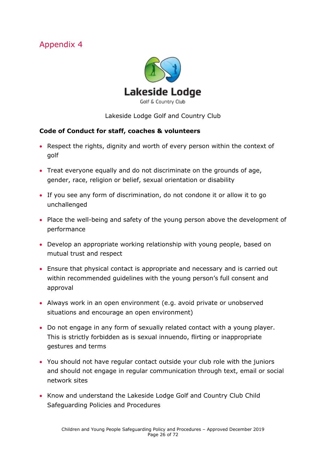<span id="page-25-0"></span>

Lakeside Lodge Golf and Country Club

#### **Code of Conduct for staff, coaches & volunteers**

- Respect the rights, dignity and worth of every person within the context of golf
- Treat everyone equally and do not discriminate on the grounds of age, gender, race, religion or belief, sexual orientation or disability
- If you see any form of discrimination, do not condone it or allow it to go unchallenged
- Place the well-being and safety of the young person above the development of performance
- Develop an appropriate working relationship with young people, based on mutual trust and respect
- Ensure that physical contact is appropriate and necessary and is carried out within recommended guidelines with the young person's full consent and approval
- Always work in an open environment (e.g. avoid private or unobserved situations and encourage an open environment)
- Do not engage in any form of sexually related contact with a young player. This is strictly forbidden as is sexual innuendo, flirting or inappropriate gestures and terms
- You should not have regular contact outside your club role with the juniors and should not engage in regular communication through text, email or social network sites
- Know and understand the Lakeside Lodge Golf and Country Club Child Safeguarding Policies and Procedures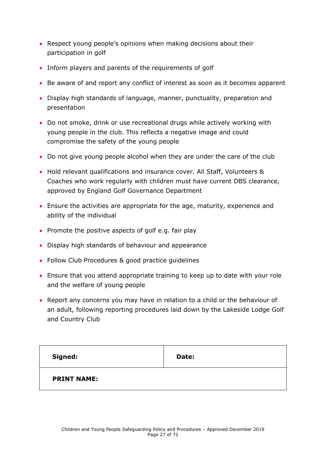- Respect young people's opinions when making decisions about their participation in golf
- Inform players and parents of the requirements of golf
- Be aware of and report any conflict of interest as soon as it becomes apparent
- Display high standards of language, manner, punctuality, preparation and presentation
- Do not smoke, drink or use recreational drugs while actively working with young people in the club. This reflects a negative image and could compromise the safety of the young people
- Do not give young people alcohol when they are under the care of the club
- Hold relevant qualifications and insurance cover. All Staff, Volunteers & Coaches who work regularly with children must have current DBS clearance, approved by England Golf Governance Department
- Ensure the activities are appropriate for the age, maturity, experience and ability of the individual
- Promote the positive aspects of golf e.g. fair play
- Display high standards of behaviour and appearance
- Follow Club Procedures & good practice quidelines
- Ensure that you attend appropriate training to keep up to date with your role and the welfare of young people
- Report any concerns you may have in relation to a child or the behaviour of an adult, following reporting procedures laid down by the Lakeside Lodge Golf and Country Club

| Signed:            | Date: |
|--------------------|-------|
| <b>PRINT NAME:</b> |       |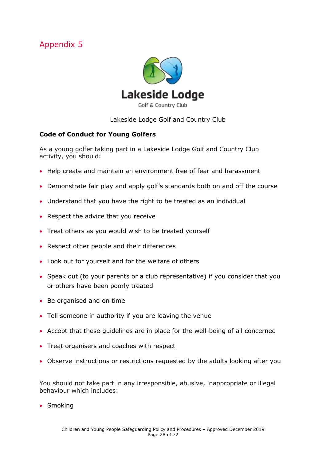<span id="page-27-0"></span>

Lakeside Lodge Golf and Country Club

#### **Code of Conduct for Young Golfers**

As a young golfer taking part in a Lakeside Lodge Golf and Country Club activity, you should:

- Help create and maintain an environment free of fear and harassment
- Demonstrate fair play and apply golf's standards both on and off the course
- Understand that you have the right to be treated as an individual
- Respect the advice that you receive
- Treat others as you would wish to be treated yourself
- Respect other people and their differences
- Look out for yourself and for the welfare of others
- Speak out (to your parents or a club representative) if you consider that you or others have been poorly treated
- Be organised and on time
- Tell someone in authority if you are leaving the venue
- Accept that these guidelines are in place for the well-being of all concerned
- Treat organisers and coaches with respect
- Observe instructions or restrictions requested by the adults looking after you

You should not take part in any irresponsible, abusive, inappropriate or illegal behaviour which includes:

• Smoking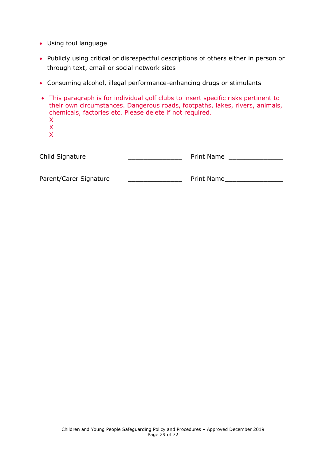- Using foul language
- Publicly using critical or disrespectful descriptions of others either in person or through text, email or social network sites
- Consuming alcohol, illegal performance-enhancing drugs or stimulants
- This paragraph is for individual golf clubs to insert specific risks pertinent to their own circumstances. Dangerous roads, footpaths, lakes, rivers, animals, chemicals, factories etc. Please delete if not required. X X X Child Signature \_\_\_\_\_\_\_\_\_\_\_\_\_\_ Print Name \_\_\_\_\_\_\_\_\_\_\_\_\_\_

| Parent/Carer Signature | <b>Print Name</b> |
|------------------------|-------------------|
|                        |                   |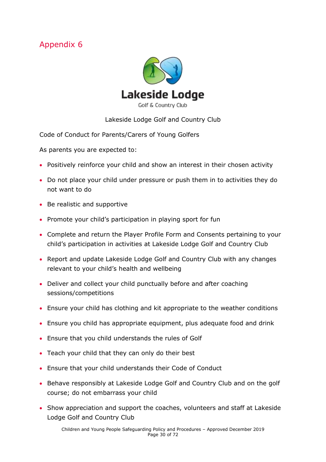<span id="page-29-0"></span>

#### Lakeside Lodge Golf and Country Club

Code of Conduct for Parents/Carers of Young Golfers

As parents you are expected to:

- Positively reinforce your child and show an interest in their chosen activity
- Do not place your child under pressure or push them in to activities they do not want to do
- Be realistic and supportive
- Promote your child's participation in playing sport for fun
- Complete and return the Player Profile Form and Consents pertaining to your child's participation in activities at Lakeside Lodge Golf and Country Club
- Report and update Lakeside Lodge Golf and Country Club with any changes relevant to your child's health and wellbeing
- Deliver and collect your child punctually before and after coaching sessions/competitions
- Ensure your child has clothing and kit appropriate to the weather conditions
- Ensure you child has appropriate equipment, plus adequate food and drink
- Ensure that you child understands the rules of Golf
- Teach your child that they can only do their best
- Ensure that your child understands their Code of Conduct
- Behave responsibly at Lakeside Lodge Golf and Country Club and on the golf course; do not embarrass your child
- Show appreciation and support the coaches, volunteers and staff at Lakeside Lodge Golf and Country Club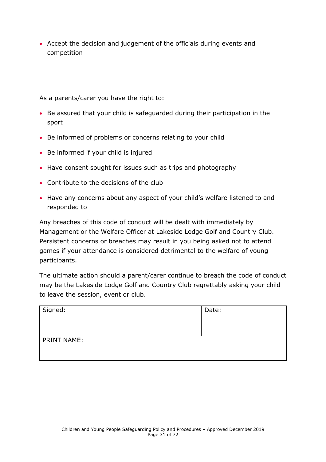• Accept the decision and judgement of the officials during events and competition

As a parents/carer you have the right to:

- Be assured that your child is safeguarded during their participation in the sport
- Be informed of problems or concerns relating to your child
- Be informed if your child is injured
- Have consent sought for issues such as trips and photography
- Contribute to the decisions of the club
- Have any concerns about any aspect of your child's welfare listened to and responded to

Any breaches of this code of conduct will be dealt with immediately by Management or the Welfare Officer at Lakeside Lodge Golf and Country Club. Persistent concerns or breaches may result in you being asked not to attend games if your attendance is considered detrimental to the welfare of young participants.

The ultimate action should a parent/carer continue to breach the code of conduct may be the Lakeside Lodge Golf and Country Club regrettably asking your child to leave the session, event or club.

| Signed:     | Date: |
|-------------|-------|
| PRINT NAME: |       |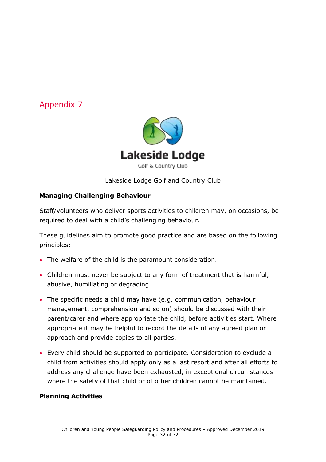

Lakeside Lodge Golf and Country Club

#### **Managing Challenging Behaviour**

Staff/volunteers who deliver sports activities to children may, on occasions, be required to deal with a child's challenging behaviour.

These guidelines aim to promote good practice and are based on the following principles:

- The welfare of the child is the paramount consideration.
- Children must never be subject to any form of treatment that is harmful, abusive, humiliating or degrading.
- The specific needs a child may have (e.g. communication, behaviour management, comprehension and so on) should be discussed with their parent/carer and where appropriate the child, before activities start. Where appropriate it may be helpful to record the details of any agreed plan or approach and provide copies to all parties.
- Every child should be supported to participate. Consideration to exclude a child from activities should apply only as a last resort and after all efforts to address any challenge have been exhausted, in exceptional circumstances where the safety of that child or of other children cannot be maintained.

#### **Planning Activities**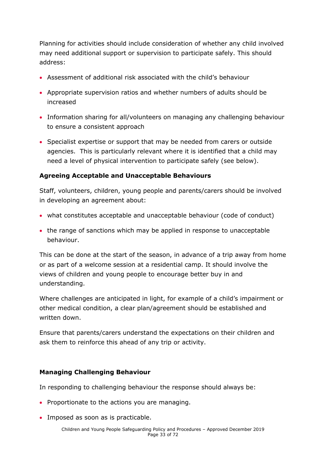Planning for activities should include consideration of whether any child involved may need additional support or supervision to participate safely. This should address:

- Assessment of additional risk associated with the child's behaviour
- Appropriate supervision ratios and whether numbers of adults should be increased
- Information sharing for all/volunteers on managing any challenging behaviour to ensure a consistent approach
- Specialist expertise or support that may be needed from carers or outside agencies. This is particularly relevant where it is identified that a child may need a level of physical intervention to participate safely (see below).

#### **Agreeing Acceptable and Unacceptable Behaviours**

Staff, volunteers, children, young people and parents/carers should be involved in developing an agreement about:

- what constitutes acceptable and unacceptable behaviour (code of conduct)
- the range of sanctions which may be applied in response to unacceptable behaviour.

This can be done at the start of the season, in advance of a trip away from home or as part of a welcome session at a residential camp. It should involve the views of children and young people to encourage better buy in and understanding.

Where challenges are anticipated in light, for example of a child's impairment or other medical condition, a clear plan/agreement should be established and written down.

Ensure that parents/carers understand the expectations on their children and ask them to reinforce this ahead of any trip or activity.

#### **Managing Challenging Behaviour**

In responding to challenging behaviour the response should always be:

- Proportionate to the actions you are managing.
- Imposed as soon as is practicable.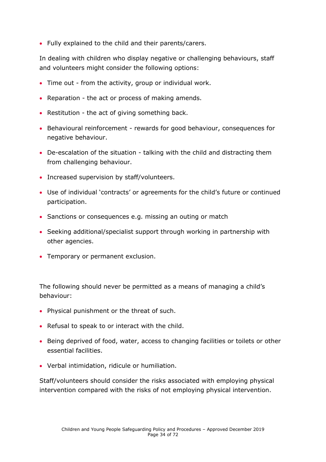• Fully explained to the child and their parents/carers.

In dealing with children who display negative or challenging behaviours, staff and volunteers might consider the following options:

- Time out from the activity, group or individual work.
- Reparation the act or process of making amends.
- Restitution the act of giving something back.
- Behavioural reinforcement rewards for good behaviour, consequences for negative behaviour.
- De-escalation of the situation talking with the child and distracting them from challenging behaviour.
- Increased supervision by staff/volunteers.
- Use of individual 'contracts' or agreements for the child's future or continued participation.
- Sanctions or consequences e.g. missing an outing or match
- Seeking additional/specialist support through working in partnership with other agencies.
- Temporary or permanent exclusion.

The following should never be permitted as a means of managing a child's behaviour:

- Physical punishment or the threat of such.
- Refusal to speak to or interact with the child.
- Being deprived of food, water, access to changing facilities or toilets or other essential facilities.
- Verbal intimidation, ridicule or humiliation.

Staff/volunteers should consider the risks associated with employing physical intervention compared with the risks of not employing physical intervention.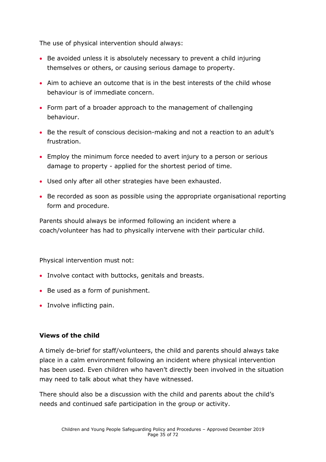The use of physical intervention should always:

- Be avoided unless it is absolutely necessary to prevent a child injuring themselves or others, or causing serious damage to property.
- Aim to achieve an outcome that is in the best interests of the child whose behaviour is of immediate concern.
- Form part of a broader approach to the management of challenging behaviour.
- Be the result of conscious decision-making and not a reaction to an adult's frustration.
- Employ the minimum force needed to avert injury to a person or serious damage to property - applied for the shortest period of time.
- Used only after all other strategies have been exhausted.
- Be recorded as soon as possible using the appropriate organisational reporting form and procedure.

Parents should always be informed following an incident where a coach/volunteer has had to physically intervene with their particular child.

Physical intervention must not:

- Involve contact with buttocks, genitals and breasts.
- Be used as a form of punishment.
- Involve inflicting pain.

#### **Views of the child**

A timely de-brief for staff/volunteers, the child and parents should always take place in a calm environment following an incident where physical intervention has been used. Even children who haven't directly been involved in the situation may need to talk about what they have witnessed.

There should also be a discussion with the child and parents about the child's needs and continued safe participation in the group or activity.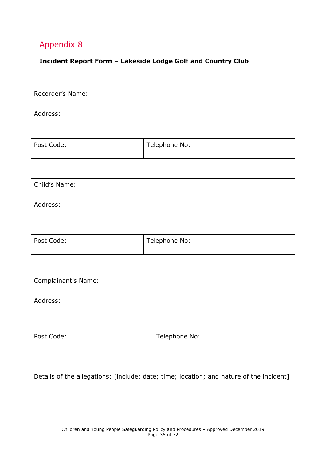#### <span id="page-35-0"></span>**Incident Report Form – Lakeside Lodge Golf and Country Club**

| Recorder's Name: |               |
|------------------|---------------|
| Address:         |               |
| Post Code:       | Telephone No: |

| Child's Name: |               |
|---------------|---------------|
| Address:      |               |
| Post Code:    | Telephone No: |

| Complainant's Name: |               |
|---------------------|---------------|
| Address:            |               |
| Post Code:          | Telephone No: |

| Details of the allegations: [include: date; time; location; and nature of the incident] |  |
|-----------------------------------------------------------------------------------------|--|
|                                                                                         |  |
|                                                                                         |  |
|                                                                                         |  |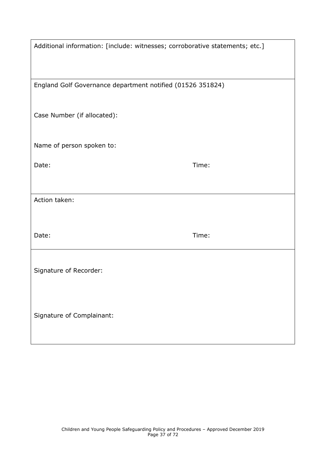| Additional information: [include: witnesses; corroborative statements; etc.] |       |  |
|------------------------------------------------------------------------------|-------|--|
|                                                                              |       |  |
| England Golf Governance department notified (01526 351824)                   |       |  |
| Case Number (if allocated):                                                  |       |  |
| Name of person spoken to:                                                    |       |  |
| Date:                                                                        | Time: |  |
|                                                                              |       |  |
| Action taken:                                                                |       |  |
| Date:                                                                        | Time: |  |
| Signature of Recorder:                                                       |       |  |
| Signature of Complainant:                                                    |       |  |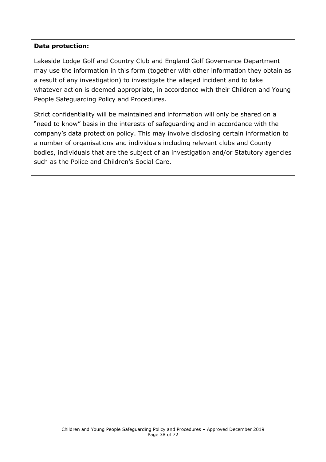#### **Data protection:**

Lakeside Lodge Golf and Country Club and England Golf Governance Department may use the information in this form (together with other information they obtain as a result of any investigation) to investigate the alleged incident and to take whatever action is deemed appropriate, in accordance with their Children and Young People Safeguarding Policy and Procedures.

Strict confidentiality will be maintained and information will only be shared on a "need to know" basis in the interests of safeguarding and in accordance with the company's data protection policy. This may involve disclosing certain information to a number of organisations and individuals including relevant clubs and County bodies, individuals that are the subject of an investigation and/or Statutory agencies such as the Police and Children's Social Care.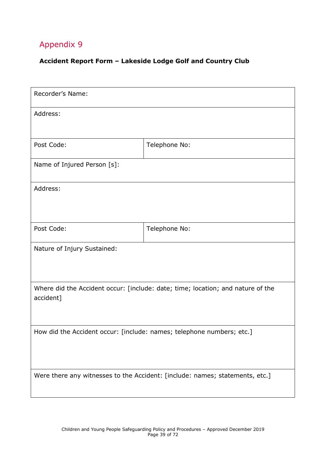#### **Accident Report Form – Lakeside Lodge Golf and Country Club**

| Recorder's Name:                                                                             |               |  |
|----------------------------------------------------------------------------------------------|---------------|--|
| Address:                                                                                     |               |  |
| Post Code:                                                                                   | Telephone No: |  |
| Name of Injured Person [s]:                                                                  |               |  |
| Address:                                                                                     |               |  |
| Post Code:                                                                                   | Telephone No: |  |
| Nature of Injury Sustained:                                                                  |               |  |
| Where did the Accident occur: [include: date; time; location; and nature of the<br>accident] |               |  |
| How did the Accident occur: [include: names; telephone numbers; etc.]                        |               |  |
| Were there any witnesses to the Accident: [include: names; statements, etc.]                 |               |  |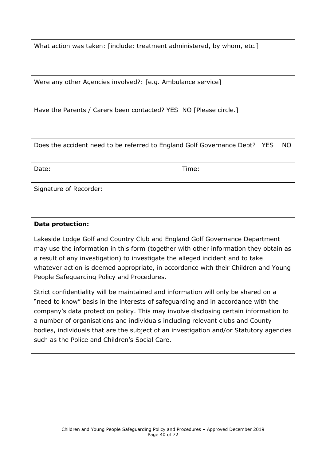What action was taken: [include: treatment administered, by whom, etc.]

Were any other Agencies involved?: [e.g. Ambulance service]

Have the Parents / Carers been contacted? YES NO [Please circle.]

Does the accident need to be referred to England Golf Governance Dept? YES NO

Date: Time:

Signature of Recorder:

#### **Data protection:**

Lakeside Lodge Golf and Country Club and England Golf Governance Department may use the information in this form (together with other information they obtain as a result of any investigation) to investigate the alleged incident and to take whatever action is deemed appropriate, in accordance with their Children and Young People Safeguarding Policy and Procedures.

Strict confidentiality will be maintained and information will only be shared on a "need to know" basis in the interests of safeguarding and in accordance with the company's data protection policy. This may involve disclosing certain information to a number of organisations and individuals including relevant clubs and County bodies, individuals that are the subject of an investigation and/or Statutory agencies such as the Police and Children's Social Care.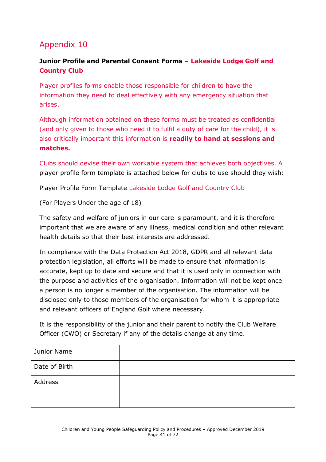#### **Junior Profile and Parental Consent Forms – Lakeside Lodge Golf and Country Club**

Player profiles forms enable those responsible for children to have the information they need to deal effectively with any emergency situation that arises.

Although information obtained on these forms must be treated as confidential (and only given to those who need it to fulfil a duty of care for the child), it is also critically important this information is **readily to hand at sessions and matches.**

Clubs should devise their own workable system that achieves both objectives. A player profile form template is attached below for clubs to use should they wish:

Player Profile Form Template Lakeside Lodge Golf and Country Club

(For Players Under the age of 18)

The safety and welfare of juniors in our care is paramount, and it is therefore important that we are aware of any illness, medical condition and other relevant health details so that their best interests are addressed.

In compliance with the Data Protection Act 2018, GDPR and all relevant data protection legislation, all efforts will be made to ensure that information is accurate, kept up to date and secure and that it is used only in connection with the purpose and activities of the organisation. Information will not be kept once a person is no longer a member of the organisation. The information will be disclosed only to those members of the organisation for whom it is appropriate and relevant officers of England Golf where necessary.

It is the responsibility of the junior and their parent to notify the Club Welfare Officer (CWO) or Secretary if any of the details change at any time.

| Junior Name   |  |
|---------------|--|
| Date of Birth |  |
| Address       |  |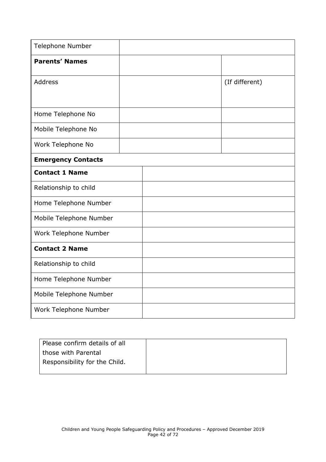| Telephone Number          |  |                |
|---------------------------|--|----------------|
| <b>Parents' Names</b>     |  |                |
| <b>Address</b>            |  | (If different) |
|                           |  |                |
| Home Telephone No         |  |                |
| Mobile Telephone No       |  |                |
| Work Telephone No         |  |                |
| <b>Emergency Contacts</b> |  |                |
| <b>Contact 1 Name</b>     |  |                |
| Relationship to child     |  |                |
| Home Telephone Number     |  |                |
| Mobile Telephone Number   |  |                |
| Work Telephone Number     |  |                |
| <b>Contact 2 Name</b>     |  |                |
| Relationship to child     |  |                |
| Home Telephone Number     |  |                |
| Mobile Telephone Number   |  |                |
| Work Telephone Number     |  |                |

| Please confirm details of all |  |
|-------------------------------|--|
| those with Parental           |  |
| Responsibility for the Child. |  |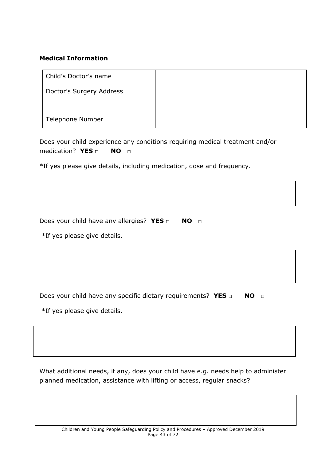#### **Medical Information**

| Child's Doctor's name    |  |
|--------------------------|--|
| Doctor's Surgery Address |  |
| Telephone Number         |  |

Does your child experience any conditions requiring medical treatment and/or medication? **YES □ NO □**

\*If yes please give details, including medication, dose and frequency.

Does your child have any allergies? **YES** □ **NO** □

\*If yes please give details.

Does your child have any specific dietary requirements? YES □ NO □

\*If yes please give details.

What additional needs, if any, does your child have e.g. needs help to administer planned medication, assistance with lifting or access, regular snacks?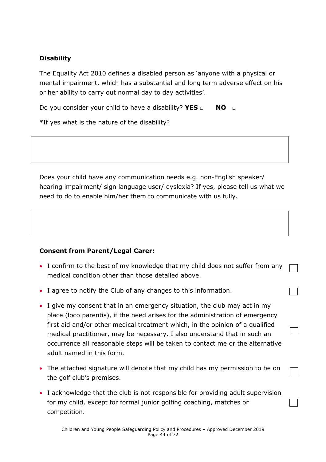#### **Disability**

The Equality Act 2010 defines a disabled person as 'anyone with a physical or mental impairment, which has a substantial and long term adverse effect on his or her ability to carry out normal day to day activities'.

Do you consider your child to have a disability? YES □ NO □

\*If yes what is the nature of the disability?

Does your child have any communication needs e.g. non-English speaker/ hearing impairment/ sign language user/ dyslexia? If yes, please tell us what we need to do to enable him/her them to communicate with us fully.

#### **Consent from Parent/Legal Carer:**

- I confirm to the best of my knowledge that my child does not suffer from any medical condition other than those detailed above.
- I agree to notify the Club of any changes to this information.
- I give my consent that in an emergency situation, the club may act in my place (loco parentis), if the need arises for the administration of emergency first aid and/or other medical treatment which, in the opinion of a qualified medical practitioner, may be necessary. I also understand that in such an occurrence all reasonable steps will be taken to contact me or the alternative adult named in this form.
- The attached signature will denote that my child has my permission to be on the golf club's premises.
- I acknowledge that the club is not responsible for providing adult supervision for my child, except for formal junior golfing coaching, matches or competition.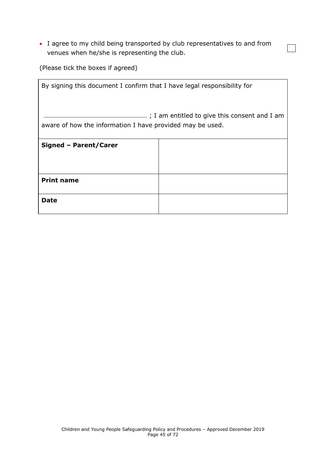• I agree to my child being transported by club representatives to and from venues when he/she is representing the club.

 $\overline{\phantom{0}}$ 

(Please tick the boxes if agreed)

| By signing this document I confirm that I have legal responsibility for |  |  |
|-------------------------------------------------------------------------|--|--|
| aware of how the information I have provided may be used.               |  |  |
| Signed - Parent/Carer                                                   |  |  |
|                                                                         |  |  |
| <b>Print name</b>                                                       |  |  |
| Date                                                                    |  |  |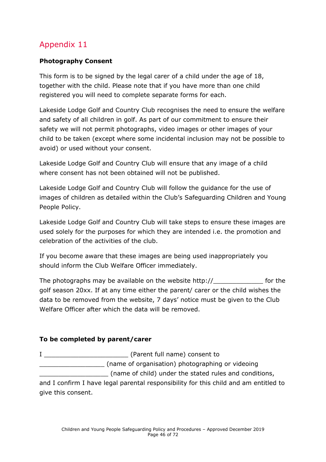#### **Photography Consent**

This form is to be signed by the legal carer of a child under the age of 18, together with the child. Please note that if you have more than one child registered you will need to complete separate forms for each.

Lakeside Lodge Golf and Country Club recognises the need to ensure the welfare and safety of all children in golf. As part of our commitment to ensure their safety we will not permit photographs, video images or other images of your child to be taken (except where some incidental inclusion may not be possible to avoid) or used without your consent.

Lakeside Lodge Golf and Country Club will ensure that any image of a child where consent has not been obtained will not be published.

Lakeside Lodge Golf and Country Club will follow the guidance for the use of images of children as detailed within the Club's Safeguarding Children and Young People Policy.

Lakeside Lodge Golf and Country Club will take steps to ensure these images are used solely for the purposes for which they are intended i.e. the promotion and celebration of the activities of the club.

If you become aware that these images are being used inappropriately you should inform the Club Welfare Officer immediately.

The photographs may be available on the website http:// golf season 20xx. If at any time either the parent/ carer or the child wishes the data to be removed from the website, 7 days' notice must be given to the Club Welfare Officer after which the data will be removed.

#### **To be completed by parent/carer**

I \_\_\_\_\_\_\_\_\_\_\_\_\_\_\_\_\_\_\_\_\_\_ (Parent full name) consent to \_\_\_\_\_\_\_\_\_\_\_\_\_\_\_\_\_ (name of organisation) photographing or videoing \_\_\_\_\_\_\_\_\_\_\_\_\_\_\_\_\_\_ (name of child) under the stated rules and conditions,

and I confirm I have legal parental responsibility for this child and am entitled to give this consent.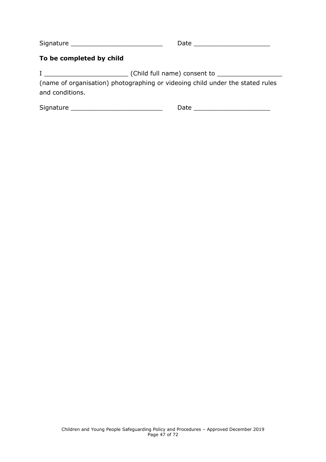Signature \_\_\_\_\_\_\_\_\_\_\_\_\_\_\_\_\_\_\_\_\_\_\_\_ Date \_\_\_\_\_\_\_\_\_\_\_\_\_\_\_\_\_\_\_\_

#### **To be completed by child**

I \_\_\_\_\_\_\_\_\_\_\_\_\_\_\_\_\_\_\_\_\_\_ (Child full name) consent to \_\_\_\_\_\_\_\_\_\_\_\_\_\_\_\_\_

(name of organisation) photographing or videoing child under the stated rules and conditions.

Signature \_\_\_\_\_\_\_\_\_\_\_\_\_\_\_\_\_\_\_\_\_\_\_\_ Date \_\_\_\_\_\_\_\_\_\_\_\_\_\_\_\_\_\_\_\_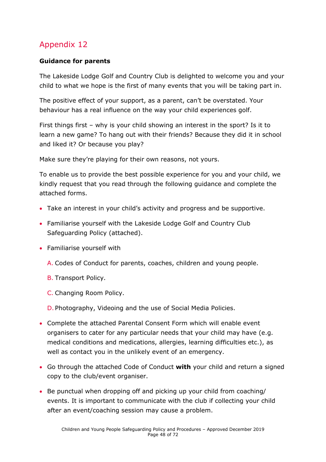#### **Guidance for parents**

The Lakeside Lodge Golf and Country Club is delighted to welcome you and your child to what we hope is the first of many events that you will be taking part in.

The positive effect of your support, as a parent, can't be overstated. Your behaviour has a real influence on the way your child experiences golf.

First things first – why is your child showing an interest in the sport? Is it to learn a new game? To hang out with their friends? Because they did it in school and liked it? Or because you play?

Make sure they're playing for their own reasons, not yours.

To enable us to provide the best possible experience for you and your child, we kindly request that you read through the following guidance and complete the attached forms.

- Take an interest in your child's activity and progress and be supportive.
- Familiarise yourself with the Lakeside Lodge Golf and Country Club Safeguarding Policy (attached).
- Familiarise yourself with
	- A. Codes of Conduct for parents, coaches, children and young people.
	- B. Transport Policy.
	- C. Changing Room Policy.

D. Photography, Videoing and the use of Social Media Policies.

- Complete the attached Parental Consent Form which will enable event organisers to cater for any particular needs that your child may have (e.g. medical conditions and medications, allergies, learning difficulties etc.), as well as contact you in the unlikely event of an emergency.
- Go through the attached Code of Conduct **with** your child and return a signed copy to the club/event organiser.
- Be punctual when dropping off and picking up your child from coaching/ events. It is important to communicate with the club if collecting your child after an event/coaching session may cause a problem.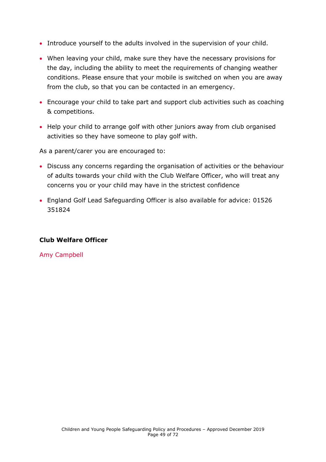- Introduce yourself to the adults involved in the supervision of your child.
- When leaving your child, make sure they have the necessary provisions for the day, including the ability to meet the requirements of changing weather conditions. Please ensure that your mobile is switched on when you are away from the club, so that you can be contacted in an emergency.
- Encourage your child to take part and support club activities such as coaching & competitions.
- Help your child to arrange golf with other juniors away from club organised activities so they have someone to play golf with.

As a parent/carer you are encouraged to:

- Discuss any concerns regarding the organisation of activities or the behaviour of adults towards your child with the Club Welfare Officer, who will treat any concerns you or your child may have in the strictest confidence
- England Golf Lead Safeguarding Officer is also available for advice: 01526 351824

#### **Club Welfare Officer**

Amy Campbell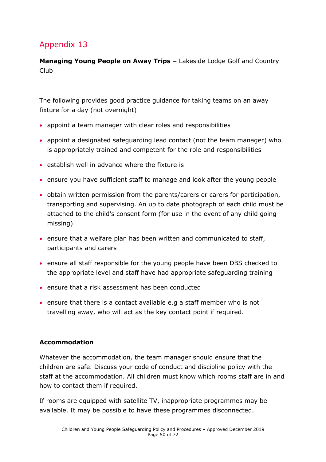**Managing Young People on Away Trips –** Lakeside Lodge Golf and Country Club

The following provides good practice guidance for taking teams on an away fixture for a day (not overnight)

- appoint a team manager with clear roles and responsibilities
- appoint a designated safeguarding lead contact (not the team manager) who is appropriately trained and competent for the role and responsibilities
- establish well in advance where the fixture is
- ensure you have sufficient staff to manage and look after the young people
- obtain written permission from the parents/carers or carers for participation, transporting and supervising. An up to date photograph of each child must be attached to the child's consent form (for use in the event of any child going missing)
- ensure that a welfare plan has been written and communicated to staff, participants and carers
- ensure all staff responsible for the young people have been DBS checked to the appropriate level and staff have had appropriate safeguarding training
- ensure that a risk assessment has been conducted
- ensure that there is a contact available e.g a staff member who is not travelling away, who will act as the key contact point if required.

#### **Accommodation**

Whatever the accommodation, the team manager should ensure that the children are safe. Discuss your code of conduct and discipline policy with the staff at the accommodation. All children must know which rooms staff are in and how to contact them if required.

If rooms are equipped with satellite TV, inappropriate programmes may be available. It may be possible to have these programmes disconnected.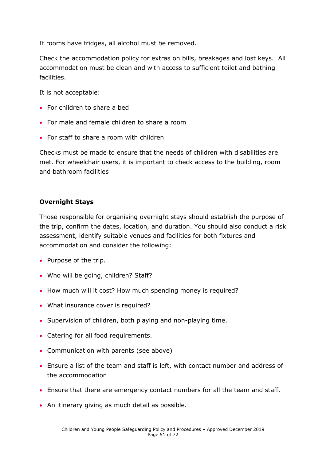If rooms have fridges, all alcohol must be removed.

Check the accommodation policy for extras on bills, breakages and lost keys. All accommodation must be clean and with access to sufficient toilet and bathing facilities.

It is not acceptable:

- For children to share a bed
- For male and female children to share a room
- For staff to share a room with children

Checks must be made to ensure that the needs of children with disabilities are met. For wheelchair users, it is important to check access to the building, room and bathroom facilities

#### **Overnight Stays**

Those responsible for organising overnight stays should establish the purpose of the trip, confirm the dates, location, and duration. You should also conduct a risk assessment, identify suitable venues and facilities for both fixtures and accommodation and consider the following:

- Purpose of the trip.
- Who will be going, children? Staff?
- How much will it cost? How much spending money is required?
- What insurance cover is required?
- Supervision of children, both playing and non-playing time.
- Catering for all food requirements.
- Communication with parents (see above)
- Ensure a list of the team and staff is left, with contact number and address of the accommodation
- Ensure that there are emergency contact numbers for all the team and staff.
- An itinerary giving as much detail as possible.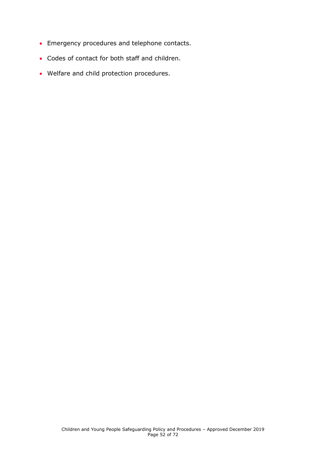- Emergency procedures and telephone contacts.
- Codes of contact for both staff and children.
- Welfare and child protection procedures.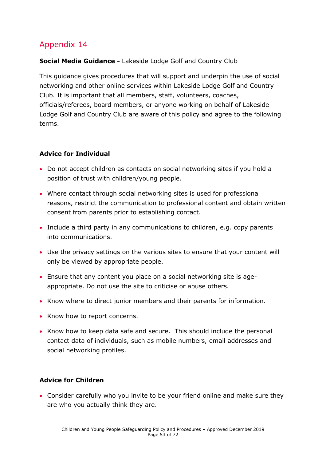#### **Social Media Guidance -** Lakeside Lodge Golf and Country Club

This guidance gives procedures that will support and underpin the use of social networking and other online services within Lakeside Lodge Golf and Country Club. It is important that all members, staff, volunteers, coaches, officials/referees, board members, or anyone working on behalf of Lakeside Lodge Golf and Country Club are aware of this policy and agree to the following terms.

#### **Advice for Individual**

- Do not accept children as contacts on social networking sites if you hold a position of trust with children/young people.
- Where contact through social networking sites is used for professional reasons, restrict the communication to professional content and obtain written consent from parents prior to establishing contact.
- Include a third party in any communications to children, e.g. copy parents into communications.
- Use the privacy settings on the various sites to ensure that your content will only be viewed by appropriate people.
- Ensure that any content you place on a social networking site is ageappropriate. Do not use the site to criticise or abuse others.
- Know where to direct junior members and their parents for information.
- Know how to report concerns.
- Know how to keep data safe and secure. This should include the personal contact data of individuals, such as mobile numbers, email addresses and social networking profiles.

#### **Advice for Children**

• Consider carefully who you invite to be your friend online and make sure they are who you actually think they are.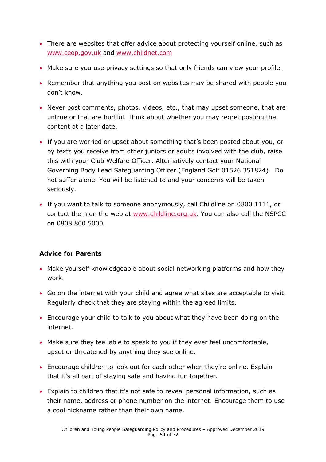- There are websites that offer advice about protecting yourself online, such as [www.ceop.gov.uk](http://www.ceop.gov.uk/) and [www.childnet.com](http://www.childnet.com/)
- Make sure you use privacy settings so that only friends can view your profile.
- Remember that anything you post on websites may be shared with people you don't know.
- Never post comments, photos, videos, etc., that may upset someone, that are untrue or that are hurtful. Think about whether you may regret posting the content at a later date.
- If you are worried or upset about something that's been posted about you, or by texts you receive from other juniors or adults involved with the club, raise this with your Club Welfare Officer. Alternatively contact your National Governing Body Lead Safeguarding Officer (England Golf 01526 351824). Do not suffer alone. You will be listened to and your concerns will be taken seriously.
- If you want to talk to someone anonymously, call Childline on 0800 1111, or contact them on the web at [www.childline.org.uk.](http://www.childline.org.uk/) You can also call the NSPCC on 0808 800 5000.

#### **Advice for Parents**

- Make yourself knowledgeable about social networking platforms and how they work.
- Go on the internet with your child and agree what sites are acceptable to visit. Regularly check that they are staying within the agreed limits.
- Encourage your child to talk to you about what they have been doing on the internet.
- Make sure they feel able to speak to you if they ever feel uncomfortable, upset or threatened by anything they see online.
- Encourage children to look out for each other when they're online. Explain that it's all part of staying safe and having fun together.
- Explain to children that it's not safe to reveal personal information, such as their name, address or phone number on the internet. Encourage them to use a cool nickname rather than their own name.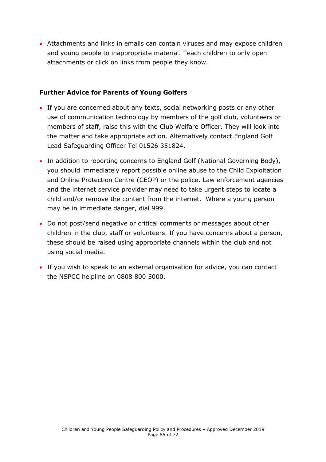• Attachments and links in emails can contain viruses and may expose children and young people to inappropriate material. Teach children to only open attachments or click on links from people they know.

#### **Further Advice for Parents of Young Golfers**

- If you are concerned about any texts, social networking posts or any other use of communication technology by members of the golf club, volunteers or members of staff, raise this with the Club Welfare Officer. They will look into the matter and take appropriate action. Alternatively contact England Golf Lead Safeguarding Officer Tel 01526 351824.
- In addition to reporting concerns to England Golf (National Governing Body), you should immediately report possible online abuse to the Child Exploitation and Online Protection Centre (CEOP) or the police. Law enforcement agencies and the internet service provider may need to take urgent steps to locate a child and/or remove the content from the internet. Where a young person may be in immediate danger, dial 999.
- Do not post/send negative or critical comments or messages about other children in the club, staff or volunteers. If you have concerns about a person, these should be raised using appropriate channels within the club and not using social media.
- If you wish to speak to an external organisation for advice, you can contact the NSPCC helpline on 0808 800 5000.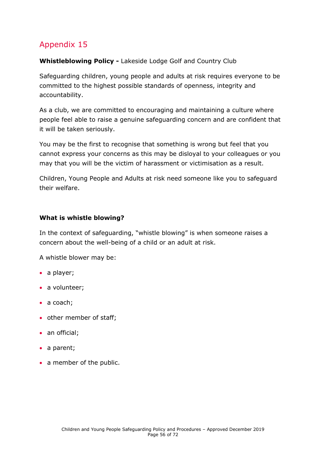#### **Whistleblowing Policy -** Lakeside Lodge Golf and Country Club

Safeguarding children, young people and adults at risk requires everyone to be committed to the highest possible standards of openness, integrity and accountability.

As a club, we are committed to encouraging and maintaining a culture where people feel able to raise a genuine safeguarding concern and are confident that it will be taken seriously.

You may be the first to recognise that something is wrong but feel that you cannot express your concerns as this may be disloyal to your colleagues or you may that you will be the victim of harassment or victimisation as a result.

Children, Young People and Adults at risk need someone like you to safeguard their welfare.

#### **What is whistle blowing?**

In the context of safeguarding, "whistle blowing" is when someone raises a concern about the well-being of a child or an adult at risk.

A whistle blower may be:

- a player;
- a volunteer;
- a coach;
- other member of staff;
- an official;
- a parent;
- a member of the public.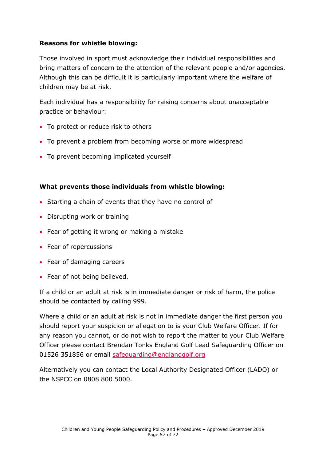#### **Reasons for whistle blowing:**

Those involved in sport must acknowledge their individual responsibilities and bring matters of concern to the attention of the relevant people and/or agencies. Although this can be difficult it is particularly important where the welfare of children may be at risk.

Each individual has a responsibility for raising concerns about unacceptable practice or behaviour:

- To protect or reduce risk to others
- To prevent a problem from becoming worse or more widespread
- To prevent becoming implicated yourself

#### **What prevents those individuals from whistle blowing:**

- Starting a chain of events that they have no control of
- Disrupting work or training
- Fear of getting it wrong or making a mistake
- Fear of repercussions
- Fear of damaging careers
- Fear of not being believed.

If a child or an adult at risk is in immediate danger or risk of harm, the police should be contacted by calling 999.

Where a child or an adult at risk is not in immediate danger the first person you should report your suspicion or allegation to is your Club Welfare Officer. If for any reason you cannot, or do not wish to report the matter to your Club Welfare Officer please contact Brendan Tonks England Golf Lead Safeguarding Officer on 01526 351856 or email [safeguarding@englandgolf.org](mailto:safeguarding@englandgolf.org)

Alternatively you can contact the Local Authority Designated Officer (LADO) or the NSPCC on 0808 800 5000.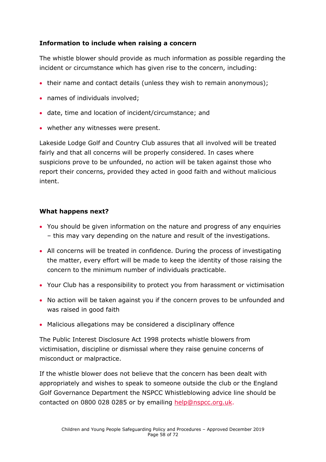#### **Information to include when raising a concern**

The whistle blower should provide as much information as possible regarding the incident or circumstance which has given rise to the concern, including:

- their name and contact details (unless they wish to remain anonymous);
- names of individuals involved;
- date, time and location of incident/circumstance; and
- whether any witnesses were present.

Lakeside Lodge Golf and Country Club assures that all involved will be treated fairly and that all concerns will be properly considered. In cases where suspicions prove to be unfounded, no action will be taken against those who report their concerns, provided they acted in good faith and without malicious intent.

#### **What happens next?**

- You should be given information on the nature and progress of any enquiries – this may vary depending on the nature and result of the investigations.
- All concerns will be treated in confidence. During the process of investigating the matter, every effort will be made to keep the identity of those raising the concern to the minimum number of individuals practicable.
- Your Club has a responsibility to protect you from harassment or victimisation
- No action will be taken against you if the concern proves to be unfounded and was raised in good faith
- Malicious allegations may be considered a disciplinary offence

The Public Interest Disclosure Act 1998 protects whistle blowers from victimisation, discipline or dismissal where they raise genuine concerns of misconduct or malpractice.

If the whistle blower does not believe that the concern has been dealt with appropriately and wishes to speak to someone outside the club or the England Golf Governance Department the NSPCC Whistleblowing advice line should be contacted on 0800 028 0285 or by emailing [help@nspcc.org.uk.](mailto:help@nspcc.org.uk)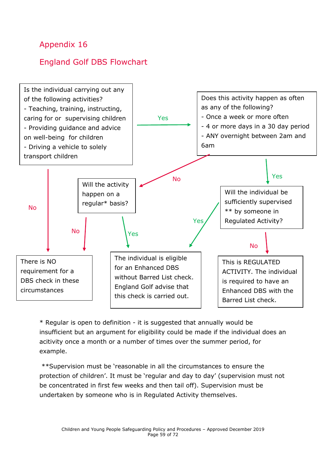# England Golf DBS Flowchart



\* Regular is open to definition - it is suggested that annually would be insufficient but an argument for eligibility could be made if the individual does an acitivity once a month or a number of times over the summer period, for example.

\*\*Supervision must be 'reasonable in all the circumstances to ensure the protection of children'. It must be 'regular and day to day' (supervision must not be concentrated in first few weeks and then tail off). Supervision must be undertaken by someone who is in Regulated Activity themselves.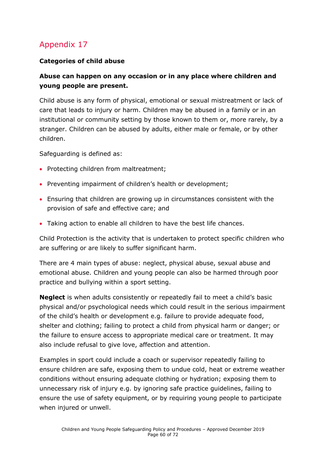#### **Categories of child abuse**

#### **Abuse can happen on any occasion or in any place where children and young people are present.**

Child abuse is any form of physical, emotional or sexual mistreatment or lack of care that leads to injury or harm. Children may be abused in a family or in an institutional or community setting by those known to them or, more rarely, by a stranger. Children can be abused by adults, either male or female, or by other children.

Safeguarding is defined as:

- Protecting children from maltreatment;
- Preventing impairment of children's health or development;
- Ensuring that children are growing up in circumstances consistent with the provision of safe and effective care; and
- Taking action to enable all children to have the best life chances.

Child Protection is the activity that is undertaken to protect specific children who are suffering or are likely to suffer significant harm.

There are 4 main types of abuse: neglect, physical abuse, sexual abuse and emotional abuse. Children and young people can also be harmed through poor practice and bullying within a sport setting.

**Neglect** is when adults consistently or repeatedly fail to meet a child's basic physical and/or psychological needs which could result in the serious impairment of the child's health or development e.g. failure to provide adequate food, shelter and clothing; failing to protect a child from physical harm or danger; or the failure to ensure access to appropriate medical care or treatment. It may also include refusal to give love, affection and attention.

Examples in sport could include a coach or supervisor repeatedly failing to ensure children are safe, exposing them to undue cold, heat or extreme weather conditions without ensuring adequate clothing or hydration; exposing them to unnecessary risk of injury e.g. by ignoring safe practice guidelines, failing to ensure the use of safety equipment, or by requiring young people to participate when injured or unwell.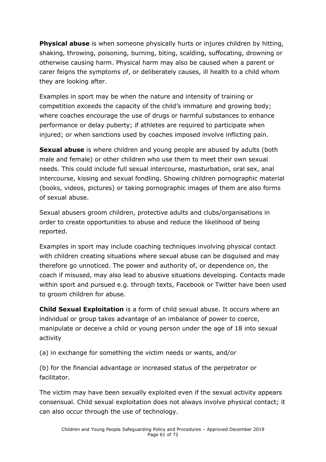**Physical abuse** is when someone physically hurts or injures children by hitting, shaking, throwing, poisoning, burning, biting, scalding, suffocating, drowning or otherwise causing harm. Physical harm may also be caused when a parent or carer feigns the symptoms of, or deliberately causes, ill health to a child whom they are looking after.

Examples in sport may be when the nature and intensity of training or competition exceeds the capacity of the child's immature and growing body; where coaches encourage the use of drugs or harmful substances to enhance performance or delay puberty; if athletes are required to participate when injured; or when sanctions used by coaches imposed involve inflicting pain.

**Sexual abuse** is where children and young people are abused by adults (both male and female) or other children who use them to meet their own sexual needs. This could include full sexual intercourse, masturbation, oral sex, anal intercourse, kissing and sexual fondling. Showing children pornographic material (books, videos, pictures) or taking pornographic images of them are also forms of sexual abuse.

Sexual abusers groom children, protective adults and clubs/organisations in order to create opportunities to abuse and reduce the likelihood of being reported.

Examples in sport may include coaching techniques involving physical contact with children creating situations where sexual abuse can be disguised and may therefore go unnoticed. The power and authority of, or dependence on, the coach if misused, may also lead to abusive situations developing. Contacts made within sport and pursued e.g. through texts, Facebook or Twitter have been used to groom children for abuse.

**Child Sexual Exploitation** is a form of child sexual abuse. It occurs where an individual or group takes advantage of an imbalance of power to coerce, manipulate or deceive a child or young person under the age of 18 into sexual activity

(a) in exchange for something the victim needs or wants, and/or

(b) for the financial advantage or increased status of the perpetrator or facilitator.

The victim may have been sexually exploited even if the sexual activity appears consensual. Child sexual exploitation does not always involve physical contact; it can also occur through the use of technology.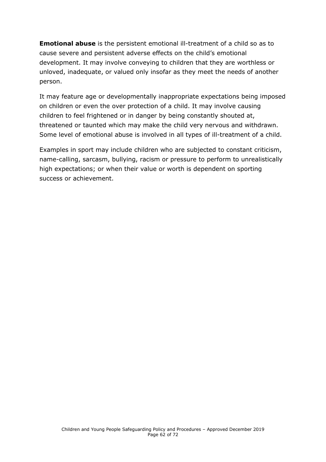**Emotional abuse** is the persistent emotional ill-treatment of a child so as to cause severe and persistent adverse effects on the child's emotional development. It may involve conveying to children that they are worthless or unloved, inadequate, or valued only insofar as they meet the needs of another person.

It may feature age or developmentally inappropriate expectations being imposed on children or even the over protection of a child. It may involve causing children to feel frightened or in danger by being constantly shouted at, threatened or taunted which may make the child very nervous and withdrawn. Some level of emotional abuse is involved in all types of ill-treatment of a child.

Examples in sport may include children who are subjected to constant criticism, name-calling, sarcasm, bullying, racism or pressure to perform to unrealistically high expectations; or when their value or worth is dependent on sporting success or achievement.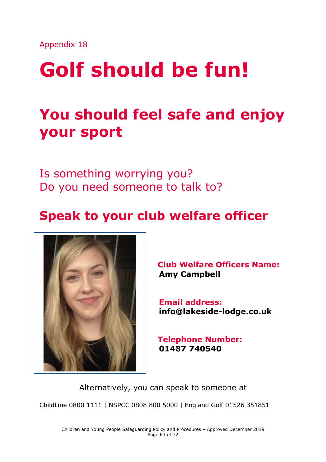# **Golf should be fun!**

# **You should feel safe and enjoy your sport**

Is something worrying you? Do you need someone to talk to?

# **Speak to your club welfare officer**



**Club Welfare Officers Name: Amy Campbell**

 **Email address: info@lakeside-lodge.co.uk**

**Telephone Number: 01487 740540**

Alternatively, you can speak to someone at ChildLine 0800 1111 | NSPCC 0808 800 5000 | England Golf 01526 351851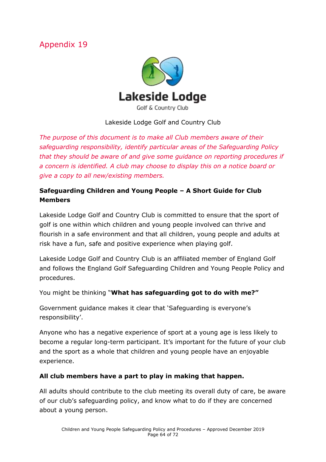

#### Lakeside Lodge Golf and Country Club

*The purpose of this document is to make all Club members aware of their safeguarding responsibility, identify particular areas of the Safeguarding Policy that they should be aware of and give some guidance on reporting procedures if a concern is identified. A club may choose to display this on a notice board or give a copy to all new/existing members.* 

#### **Safeguarding Children and Young People – A Short Guide for Club Members**

Lakeside Lodge Golf and Country Club is committed to ensure that the sport of golf is one within which children and young people involved can thrive and flourish in a safe environment and that all children, young people and adults at risk have a fun, safe and positive experience when playing golf.

Lakeside Lodge Golf and Country Club is an affiliated member of England Golf and follows the England Golf Safeguarding Children and Young People Policy and procedures.

You might be thinking "**What has safeguarding got to do with me?"**

Government guidance makes it clear that 'Safeguarding is everyone's responsibility'.

Anyone who has a negative experience of sport at a young age is less likely to become a regular long-term participant. It's important for the future of your club and the sport as a whole that children and young people have an enjoyable experience.

#### **All club members have a part to play in making that happen.**

All adults should contribute to the club meeting its overall duty of care, be aware of our club's safeguarding policy, and know what to do if they are concerned about a young person.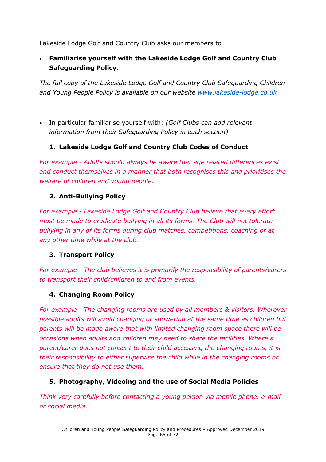Lakeside Lodge Golf and Country Club asks our members to

• **Familiarise yourself with the Lakeside Lodge Golf and Country Club Safeguarding Policy.** 

*The full copy of the Lakeside Lodge Golf and Country Club Safeguarding Children and Young People Policy is available on our website [www.lakeside-lodge.co.uk](http://www.lakeside-lodge.co.uk/)* 

• In particular familiarise yourself with: *(Golf Clubs can add relevant information from their Safeguarding Policy in each section)*

#### **1. Lakeside Lodge Golf and Country Club Codes of Conduct**

*For example - Adults should always be aware that age related differences exist and conduct themselves in a manner that both recognises this and prioritises the welfare of children and young people.*

#### **2. Anti-Bullying Policy**

*For example - Lakeside Lodge Golf and Country Club believe that every effort must be made to eradicate bullying in all its forms. The Club will not tolerate bullying in any of its forms during club matches, competitions, coaching or at any other time while at the club.*

#### **3. Transport Policy**

*For example - The club believes it is primarily the responsibility of parents/carers to transport their child/children to and from events.*

#### **4. Changing Room Policy**

*For example - The changing rooms are used by all members & visitors. Wherever possible adults will avoid changing or showering at the same time as children but parents will be made aware that with limited changing room space there will be occasions when adults and children may need to share the facilities. Where a parent/carer does not consent to their child accessing the changing rooms, it is their responsibility to either supervise the child while in the changing rooms or ensure that they do not use them.* 

#### **5. Photography, Videoing and the use of Social Media Policies**

*Think very carefully before contacting a young person via mobile phone, e-mail or social media.*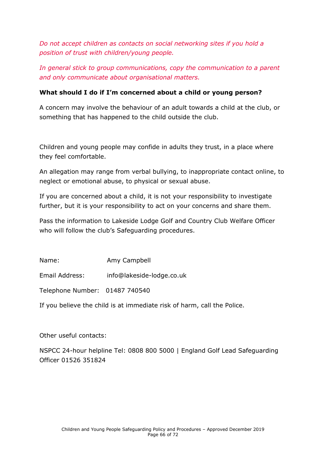*Do not accept children as contacts on social networking sites if you hold a position of trust with children/young people.*

*In general stick to group communications, copy the communication to a parent and only communicate about organisational matters.*

#### **What should I do if I'm concerned about a child or young person?**

A concern may involve the behaviour of an adult towards a child at the club, or something that has happened to the child outside the club.

Children and young people may confide in adults they trust, in a place where they feel comfortable.

An allegation may range from verbal bullying, to inappropriate contact online, to neglect or emotional abuse, to physical or sexual abuse.

If you are concerned about a child, it is not your responsibility to investigate further, but it is your responsibility to act on your concerns and share them.

Pass the information to Lakeside Lodge Golf and Country Club Welfare Officer who will follow the club's Safeguarding procedures.

Name: Amy Campbell

Email Address: info@lakeside-lodge.co.uk

Telephone Number: 01487 740540

If you believe the child is at immediate risk of harm, call the Police.

Other useful contacts:

NSPCC 24-hour helpline Tel: 0808 800 5000 | England Golf Lead Safeguarding Officer 01526 351824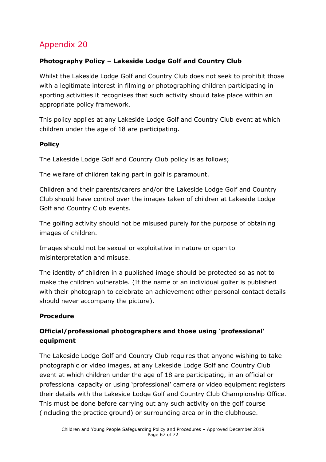#### **Photography Policy – Lakeside Lodge Golf and Country Club**

Whilst the Lakeside Lodge Golf and Country Club does not seek to prohibit those with a legitimate interest in filming or photographing children participating in sporting activities it recognises that such activity should take place within an appropriate policy framework.

This policy applies at any Lakeside Lodge Golf and Country Club event at which children under the age of 18 are participating.

#### **Policy**

The Lakeside Lodge Golf and Country Club policy is as follows;

The welfare of children taking part in golf is paramount.

Children and their parents/carers and/or the Lakeside Lodge Golf and Country Club should have control over the images taken of children at Lakeside Lodge Golf and Country Club events.

The golfing activity should not be misused purely for the purpose of obtaining images of children.

Images should not be sexual or exploitative in nature or open to misinterpretation and misuse.

The identity of children in a published image should be protected so as not to make the children vulnerable. (If the name of an individual golfer is published with their photograph to celebrate an achievement other personal contact details should never accompany the picture).

#### **Procedure**

#### **Official/professional photographers and those using 'professional' equipment**

The Lakeside Lodge Golf and Country Club requires that anyone wishing to take photographic or video images, at any Lakeside Lodge Golf and Country Club event at which children under the age of 18 are participating, in an official or professional capacity or using 'professional' camera or video equipment registers their details with the Lakeside Lodge Golf and Country Club Championship Office. This must be done before carrying out any such activity on the golf course (including the practice ground) or surrounding area or in the clubhouse.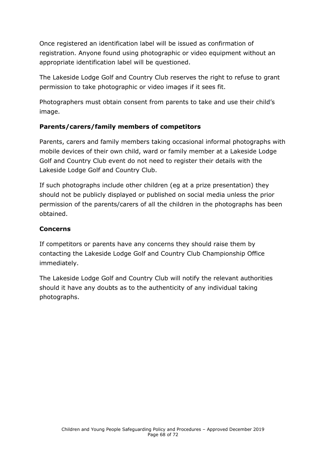Once registered an identification label will be issued as confirmation of registration. Anyone found using photographic or video equipment without an appropriate identification label will be questioned.

The Lakeside Lodge Golf and Country Club reserves the right to refuse to grant permission to take photographic or video images if it sees fit.

Photographers must obtain consent from parents to take and use their child's image.

#### **Parents/carers/family members of competitors**

Parents, carers and family members taking occasional informal photographs with mobile devices of their own child, ward or family member at a Lakeside Lodge Golf and Country Club event do not need to register their details with the Lakeside Lodge Golf and Country Club.

If such photographs include other children (eg at a prize presentation) they should not be publicly displayed or published on social media unless the prior permission of the parents/carers of all the children in the photographs has been obtained.

#### **Concerns**

If competitors or parents have any concerns they should raise them by contacting the Lakeside Lodge Golf and Country Club Championship Office immediately.

The Lakeside Lodge Golf and Country Club will notify the relevant authorities should it have any doubts as to the authenticity of any individual taking photographs.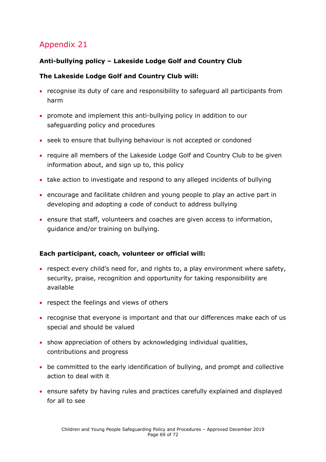#### **Anti-bullying policy – Lakeside Lodge Golf and Country Club**

#### **The Lakeside Lodge Golf and Country Club will:**

- recognise its duty of care and responsibility to safeguard all participants from harm
- promote and implement this anti-bullying policy in addition to our safeguarding policy and procedures
- seek to ensure that bullying behaviour is not accepted or condoned
- require all members of the Lakeside Lodge Golf and Country Club to be given information about, and sign up to, this policy
- take action to investigate and respond to any alleged incidents of bullying
- encourage and facilitate children and young people to play an active part in developing and adopting a code of conduct to address bullying
- ensure that staff, volunteers and coaches are given access to information, guidance and/or training on bullying.

#### **Each participant, coach, volunteer or official will:**

- respect every child's need for, and rights to, a play environment where safety, security, praise, recognition and opportunity for taking responsibility are available
- respect the feelings and views of others
- recognise that everyone is important and that our differences make each of us special and should be valued
- show appreciation of others by acknowledging individual qualities, contributions and progress
- be committed to the early identification of bullying, and prompt and collective action to deal with it
- ensure safety by having rules and practices carefully explained and displayed for all to see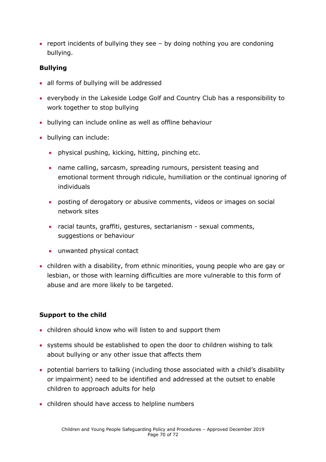• report incidents of bullying they see – by doing nothing you are condoning bullying.

#### **Bullying**

- all forms of bullying will be addressed
- everybody in the Lakeside Lodge Golf and Country Club has a responsibility to work together to stop bullying
- bullying can include online as well as offline behaviour
- bullying can include:
	- physical pushing, kicking, hitting, pinching etc.
	- name calling, sarcasm, spreading rumours, persistent teasing and emotional torment through ridicule, humiliation or the continual ignoring of individuals
	- posting of derogatory or abusive comments, videos or images on social network sites
	- racial taunts, graffiti, gestures, sectarianism sexual comments, suggestions or behaviour
	- unwanted physical contact
- children with a disability, from ethnic minorities, young people who are gay or lesbian, or those with learning difficulties are more vulnerable to this form of abuse and are more likely to be targeted.

#### **Support to the child**

- children should know who will listen to and support them
- systems should be established to open the door to children wishing to talk about bullying or any other issue that affects them
- potential barriers to talking (including those associated with a child's disability or impairment) need to be identified and addressed at the outset to enable children to approach adults for help
- children should have access to helpline numbers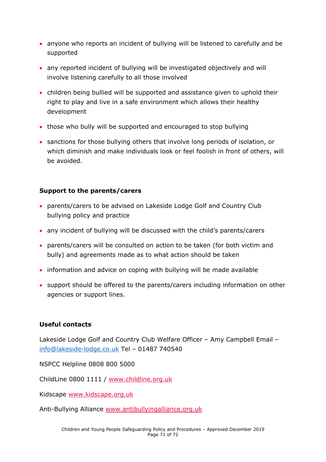- anyone who reports an incident of bullying will be listened to carefully and be supported
- any reported incident of bullying will be investigated objectively and will involve listening carefully to all those involved
- children being bullied will be supported and assistance given to uphold their right to play and live in a safe environment which allows their healthy development
- those who bully will be supported and encouraged to stop bullying
- sanctions for those bullying others that involve long periods of isolation, or which diminish and make individuals look or feel foolish in front of others, will be avoided.

#### **Support to the parents/carers**

- parents/carers to be advised on Lakeside Lodge Golf and Country Club bullying policy and practice
- any incident of bullying will be discussed with the child's parents/carers
- parents/carers will be consulted on action to be taken (for both victim and bully) and agreements made as to what action should be taken
- information and advice on coping with bullying will be made available
- support should be offered to the parents/carers including information on other agencies or support lines.

#### **Useful contacts**

Lakeside Lodge Golf and Country Club Welfare Officer – Amy Campbell Email – [info@lakeside-lodge.co.uk](mailto:info@lakeside-lodge.co.uk) Tel – 01487 740540

NSPCC Helpline 0808 800 5000

ChildLine 0800 1111 / [www.childline.org.uk](http://www.childline.org.uk/)

Kidscape [www.kidscape.org.uk](http://www.kidscape.org.uk/)

Anti-Bullying Alliance [www.antibullyingalliance.org.uk](http://www.antibullyingalliance.org.uk/)